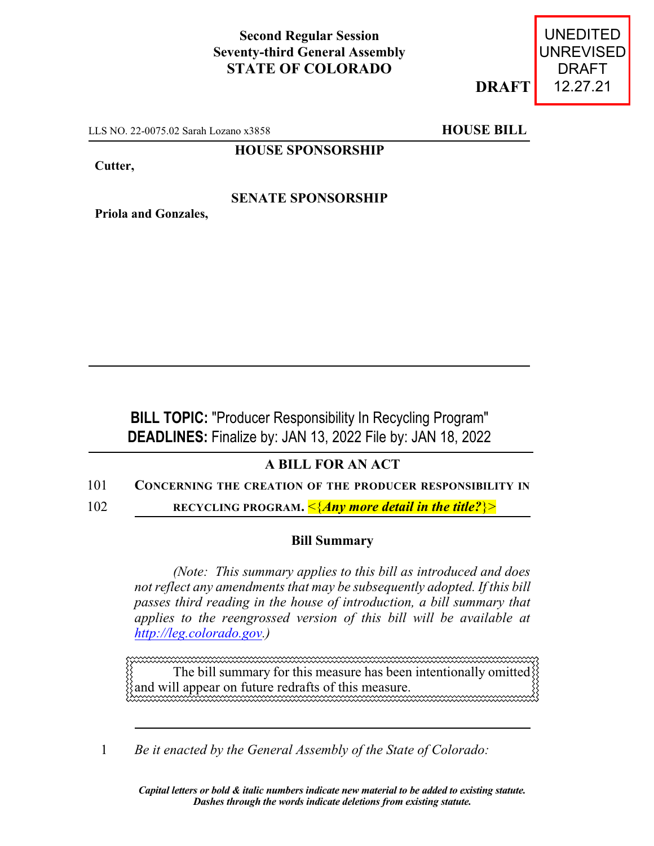## **Second Regular Session Seventy-third General Assembly STATE OF COLORADO**

**DRAFT**

UNEDITED UNREVISED DRAFT 12.27.21

LLS NO. 22-0075.02 Sarah Lozano x3858 **HOUSE BILL** 

**HOUSE SPONSORSHIP**

**Cutter,**

## **SENATE SPONSORSHIP**

**Priola and Gonzales,**

**BILL TOPIC:** "Producer Responsibility In Recycling Program" **DEADLINES:** Finalize by: JAN 13, 2022 File by: JAN 18, 2022

## **A BILL FOR AN ACT**

- 101 **CONCERNING THE CREATION OF THE PRODUCER RESPONSIBILITY IN**
- 102 **RECYCLING PROGRAM.** <{*Any more detail in the title?*}>

## **Bill Summary**

*(Note: This summary applies to this bill as introduced and does not reflect any amendments that may be subsequently adopted. If this bill passes third reading in the house of introduction, a bill summary that applies to the reengrossed version of this bill will be available at [http://leg.colorado.gov](http://leg.colorado.gov/).)*

The bill summary for this measure has been intentionally omitted and will appear on future redrafts of this measure.

1 *Be it enacted by the General Assembly of the State of Colorado:*

*Capital letters or bold & italic numbers indicate new material to be added to existing statute. Dashes through the words indicate deletions from existing statute.*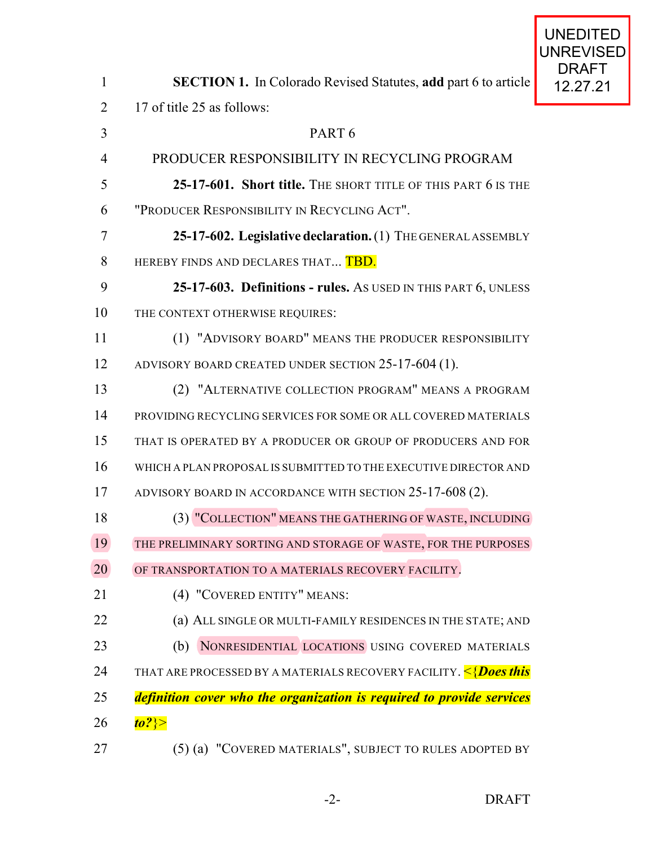| $\mathbf{1}$   | <b>SECTION 1.</b> In Colorado Revised Statutes, add part 6 to article                    |  |
|----------------|------------------------------------------------------------------------------------------|--|
| $\overline{2}$ | 17 of title 25 as follows:                                                               |  |
| 3              | PART <sub>6</sub>                                                                        |  |
| $\overline{4}$ | PRODUCER RESPONSIBILITY IN RECYCLING PROGRAM                                             |  |
| 5              | 25-17-601. Short title. THE SHORT TITLE OF THIS PART 6 IS THE                            |  |
| 6              | "PRODUCER RESPONSIBILITY IN RECYCLING ACT".                                              |  |
| 7              | 25-17-602. Legislative declaration. (1) THE GENERAL ASSEMBLY                             |  |
| 8              | HEREBY FINDS AND DECLARES THAT TBD.                                                      |  |
| 9              | 25-17-603. Definitions - rules. As USED IN THIS PART 6, UNLESS                           |  |
| 10             | THE CONTEXT OTHERWISE REQUIRES:                                                          |  |
| 11             | (1) "ADVISORY BOARD" MEANS THE PRODUCER RESPONSIBILITY                                   |  |
| 12             | ADVISORY BOARD CREATED UNDER SECTION 25-17-604 (1).                                      |  |
| 13             | (2) "ALTERNATIVE COLLECTION PROGRAM" MEANS A PROGRAM                                     |  |
| 14             | PROVIDING RECYCLING SERVICES FOR SOME OR ALL COVERED MATERIALS                           |  |
| 15             | THAT IS OPERATED BY A PRODUCER OR GROUP OF PRODUCERS AND FOR                             |  |
| 16             | WHICH A PLAN PROPOSAL IS SUBMITTED TO THE EXECUTIVE DIRECTOR AND                         |  |
| 17             | ADVISORY BOARD IN ACCORDANCE WITH SECTION 25-17-608 (2).                                 |  |
| 18             | (3) "COLLECTION" MEANS THE GATHERING OF WASTE, INCLUDING                                 |  |
| 19             | THE PRELIMINARY SORTING AND STORAGE OF WASTE, FOR THE PURPOSES                           |  |
| 20             | OF TRANSPORTATION TO A MATERIALS RECOVERY FACILITY.                                      |  |
| 21             | (4) "COVERED ENTITY" MEANS:                                                              |  |
| 22             | (a) ALL SINGLE OR MULTI-FAMILY RESIDENCES IN THE STATE; AND                              |  |
| 23             | NONRESIDENTIAL LOCATIONS USING COVERED MATERIALS<br>(b)                                  |  |
| 24             | THAT ARE PROCESSED BY A MATERIALS RECOVERY FACILITY. <mark>&lt;{<i>Does this</i>}</mark> |  |
| 25             | definition cover who the organization is required to provide services                    |  |
| 26             | to?} $>$                                                                                 |  |
|                |                                                                                          |  |

(5) (a) "COVERED MATERIALS", SUBJECT TO RULES ADOPTED BY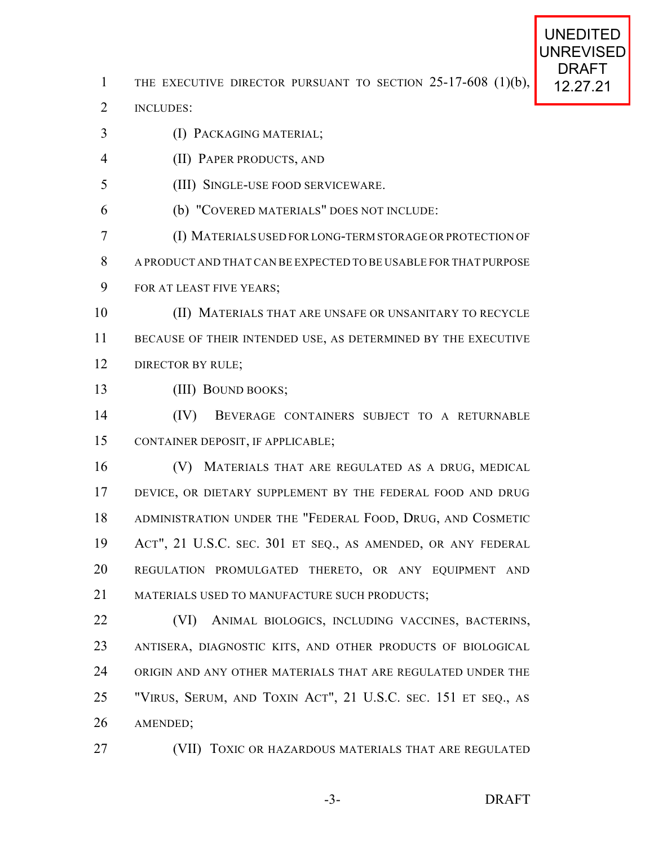1 THE EXECUTIVE DIRECTOR PURSUANT TO SECTION  $25-17-608$  (1)(b), 12.27.21

INCLUDES:

- (I) PACKAGING MATERIAL;
- (II) PAPER PRODUCTS, AND
- (III) SINGLE-USE FOOD SERVICEWARE.
- (b) "COVERED MATERIALS" DOES NOT INCLUDE:
- (I) MATERIALS USED FORLONG-TERM STORAGE ORPROTECTION OF
- A PRODUCT AND THAT CAN BE EXPECTED TO BE USABLE FOR THAT PURPOSE
- FOR AT LEAST FIVE YEARS;
- (II) MATERIALS THAT ARE UNSAFE OR UNSANITARY TO RECYCLE BECAUSE OF THEIR INTENDED USE, AS DETERMINED BY THE EXECUTIVE 12 DIRECTOR BY RULE;
- (III) BOUND BOOKS;
- (IV) BEVERAGE CONTAINERS SUBJECT TO A RETURNABLE CONTAINER DEPOSIT, IF APPLICABLE;
- (V) MATERIALS THAT ARE REGULATED AS A DRUG, MEDICAL DEVICE, OR DIETARY SUPPLEMENT BY THE FEDERAL FOOD AND DRUG ADMINISTRATION UNDER THE "FEDERAL FOOD, DRUG, AND COSMETIC ACT", 21 U.S.C. SEC. 301 ET SEQ., AS AMENDED, OR ANY FEDERAL REGULATION PROMULGATED THERETO, OR ANY EQUIPMENT AND 21 MATERIALS USED TO MANUFACTURE SUCH PRODUCTS:
- (VI) ANIMAL BIOLOGICS, INCLUDING VACCINES, BACTERINS, ANTISERA, DIAGNOSTIC KITS, AND OTHER PRODUCTS OF BIOLOGICAL ORIGIN AND ANY OTHER MATERIALS THAT ARE REGULATED UNDER THE "VIRUS, SERUM, AND TOXIN ACT", 21 U.S.C. SEC. 151 ET SEQ., AS AMENDED;
- (VII) TOXIC OR HAZARDOUS MATERIALS THAT ARE REGULATED

UNEDITED UNREVISED DRAFT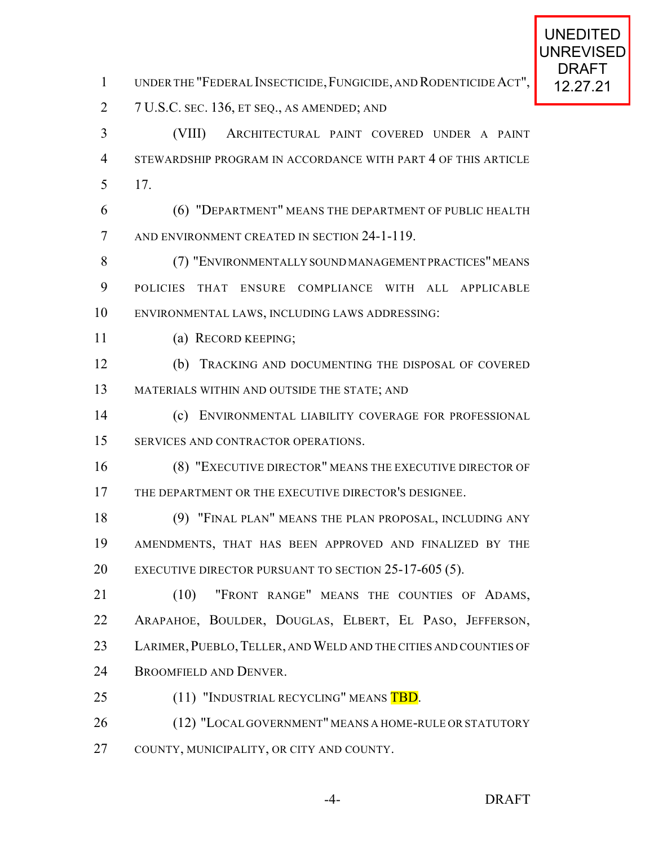- 1 UNDER THE "FEDERAL INSECTICIDE, FUNGICIDE, AND RODENTICIDE ACT", 12.27.21
- 7 U.S.C. SEC. 136, ET SEQ., AS AMENDED; AND
- (VIII) ARCHITECTURAL PAINT COVERED UNDER A PAINT STEWARDSHIP PROGRAM IN ACCORDANCE WITH PART 4 OF THIS ARTICLE 17.
- (6) "DEPARTMENT" MEANS THE DEPARTMENT OF PUBLIC HEALTH AND ENVIRONMENT CREATED IN SECTION 24-1-119.
- 8 (7) "ENVIRONMENTALLY SOUND MANAGEMENT PRACTICES" MEANS POLICIES THAT ENSURE COMPLIANCE WITH ALL APPLICABLE ENVIRONMENTAL LAWS, INCLUDING LAWS ADDRESSING:
- (a) RECORD KEEPING;
- (b) TRACKING AND DOCUMENTING THE DISPOSAL OF COVERED MATERIALS WITHIN AND OUTSIDE THE STATE; AND
- (c) ENVIRONMENTAL LIABILITY COVERAGE FOR PROFESSIONAL SERVICES AND CONTRACTOR OPERATIONS.
- (8) "EXECUTIVE DIRECTOR" MEANS THE EXECUTIVE DIRECTOR OF THE DEPARTMENT OR THE EXECUTIVE DIRECTOR'S DESIGNEE.
- (9) "FINAL PLAN" MEANS THE PLAN PROPOSAL, INCLUDING ANY AMENDMENTS, THAT HAS BEEN APPROVED AND FINALIZED BY THE 20 EXECUTIVE DIRECTOR PURSUANT TO SECTION 25-17-605 (5).
- 21 (10) "FRONT RANGE" MEANS THE COUNTIES OF ADAMS, ARAPAHOE, BOULDER, DOUGLAS, ELBERT, EL PASO, JEFFERSON, 23 LARIMER, PUEBLO, TELLER, AND WELD AND THE CITIES AND COUNTIES OF BROOMFIELD AND DENVER.
- 25 (11) "INDUSTRIAL RECYCLING" MEANS TBD.
- (12) "LOCAL GOVERNMENT" MEANS A HOME-RULE OR STATUTORY COUNTY, MUNICIPALITY, OR CITY AND COUNTY.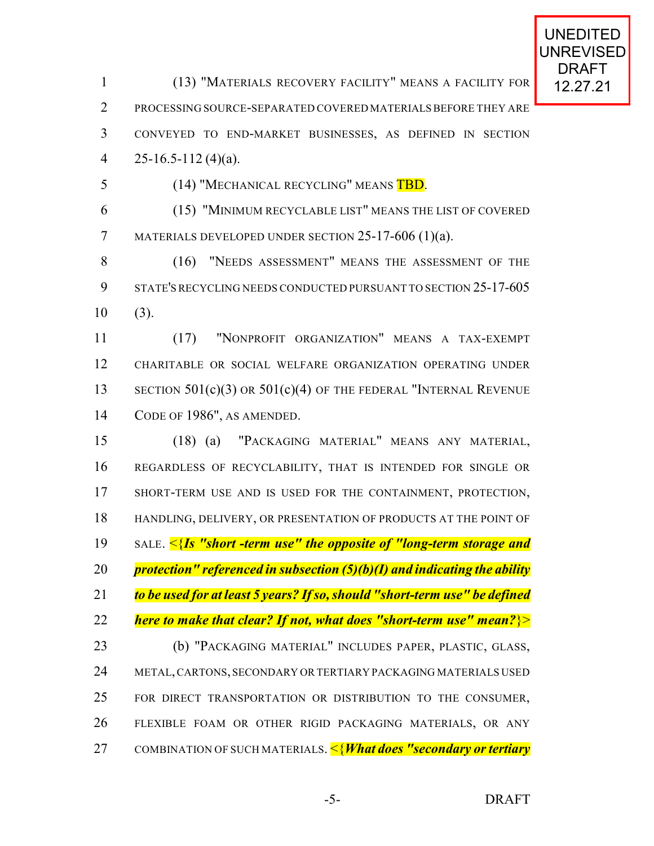1 (13) "MATERIALS RECOVERY FACILITY" MEANS A FACILITY FOR 12.27.21 PROCESSING SOURCE-SEPARATED COVERED MATERIALS BEFORE THEY ARE CONVEYED TO END-MARKET BUSINESSES, AS DEFINED IN SECTION 4 25-16.5-112 (4)(a). 5 (14) "MECHANICAL RECYCLING" MEANS TBD. (15) "MINIMUM RECYCLABLE LIST" MEANS THE LIST OF COVERED MATERIALS DEVELOPED UNDER SECTION 25-17-606 (1)(a). (16) "NEEDS ASSESSMENT" MEANS THE ASSESSMENT OF THE STATE'S RECYCLING NEEDS CONDUCTED PURSUANT TO SECTION 25-17-605 (3). (17) "NONPROFIT ORGANIZATION" MEANS A TAX-EXEMPT CHARITABLE OR SOCIAL WELFARE ORGANIZATION OPERATING UNDER 13 SECTION 501(c)(3) OR 501(c)(4) OF THE FEDERAL "INTERNAL REVENUE CODE OF 1986", AS AMENDED. (18) (a) "PACKAGING MATERIAL" MEANS ANY MATERIAL, REGARDLESS OF RECYCLABILITY, THAT IS INTENDED FOR SINGLE OR SHORT-TERM USE AND IS USED FOR THE CONTAINMENT, PROTECTION, HANDLING, DELIVERY, OR PRESENTATION OF PRODUCTS AT THE POINT OF

SALE. <{*Is "short -term use" the opposite of "long-term storage and*

*protection" referenced in subsection (5)(b)(I) and indicating the ability*

*to be used for at least 5 years? If so, should "short-term use" be defined*

*here to make that clear? If not, what does "short-term use" mean?*}>

 (b) "PACKAGING MATERIAL" INCLUDES PAPER, PLASTIC, GLASS, 24 METAL, CARTONS, SECONDARY OR TERTIARY PACKAGING MATERIALS USED FOR DIRECT TRANSPORTATION OR DISTRIBUTION TO THE CONSUMER, FLEXIBLE FOAM OR OTHER RIGID PACKAGING MATERIALS, OR ANY COMBINATION OF SUCH MATERIALS. <{*What does "secondary or tertiary*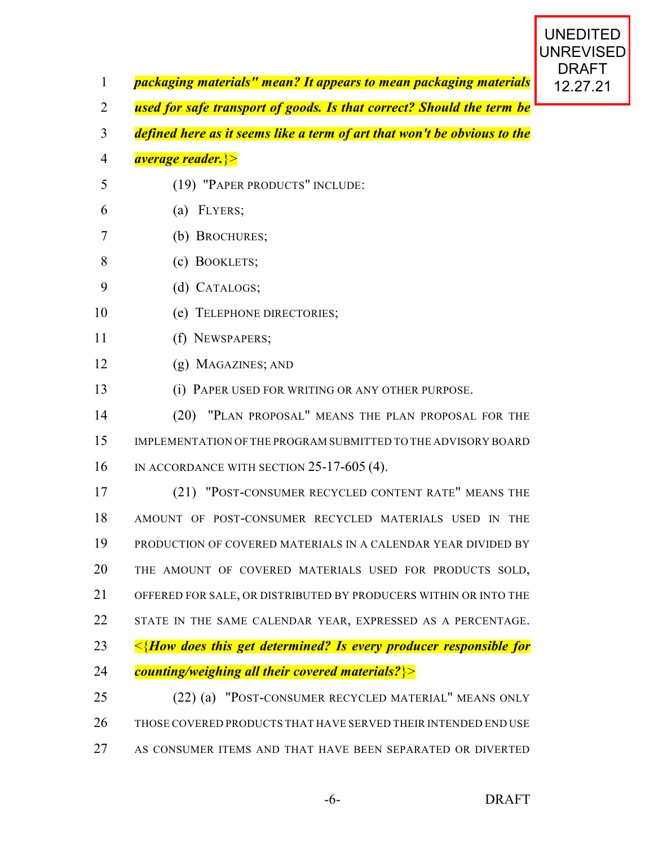- *packaging materials" mean? It appears to mean packaging materials* **| 12.27.21**
- *used for safe transport of goods. Is that correct? Should the term be*
- *defined here as it seems like a term of art that won't be obvious to the*
- *average reader.*}>
- (19) "PAPER PRODUCTS" INCLUDE:
- (a) FLYERS;
- (b) BROCHURES;
- (c) BOOKLETS;
- (d) CATALOGS;
- (e) TELEPHONE DIRECTORIES;
- (f) NEWSPAPERS;
- (g) MAGAZINES; AND
- (i) PAPER USED FOR WRITING OR ANY OTHER PURPOSE.
- (20) "PLAN PROPOSAL" MEANS THE PLAN PROPOSAL FOR THE IMPLEMENTATION OF THE PROGRAM SUBMITTED TO THE ADVISORY BOARD IN ACCORDANCE WITH SECTION 25-17-605 (4).

 (21) "POST-CONSUMER RECYCLED CONTENT RATE" MEANS THE AMOUNT OF POST-CONSUMER RECYCLED MATERIALS USED IN THE PRODUCTION OF COVERED MATERIALS IN A CALENDAR YEAR DIVIDED BY THE AMOUNT OF COVERED MATERIALS USED FOR PRODUCTS SOLD, OFFERED FOR SALE, OR DISTRIBUTED BY PRODUCERS WITHIN OR INTO THE 22 STATE IN THE SAME CALENDAR YEAR, EXPRESSED AS A PERCENTAGE. <{*How does this get determined? Is every producer responsible for counting/weighing all their covered materials?*}> (22) (a) "POST-CONSUMER RECYCLED MATERIAL" MEANS ONLY

- THOSE COVERED PRODUCTS THAT HAVE SERVED THEIR INTENDED END USE
- AS CONSUMER ITEMS AND THAT HAVE BEEN SEPARATED OR DIVERTED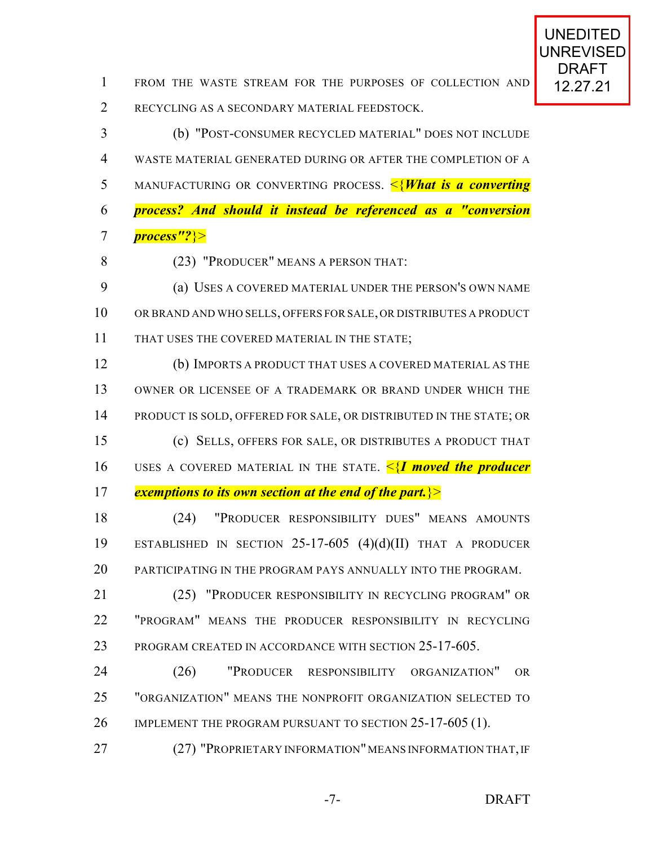1 FROM THE WASTE STREAM FOR THE PURPOSES OF COLLECTION AND 12.27.21 RECYCLING AS A SECONDARY MATERIAL FEEDSTOCK.

 (b) "POST-CONSUMER RECYCLED MATERIAL" DOES NOT INCLUDE WASTE MATERIAL GENERATED DURING OR AFTER THE COMPLETION OF A MANUFACTURING OR CONVERTING PROCESS. <{*What is a converting process? And should it instead be referenced as a "conversion process"?*}>

(23) "PRODUCER" MEANS A PERSON THAT:

 (a) USES A COVERED MATERIAL UNDER THE PERSON'S OWN NAME OR BRAND AND WHO SELLS, OFFERS FOR SALE, OR DISTRIBUTES A PRODUCT THAT USES THE COVERED MATERIAL IN THE STATE;

 (b) IMPORTS A PRODUCT THAT USES A COVERED MATERIAL AS THE OWNER OR LICENSEE OF A TRADEMARK OR BRAND UNDER WHICH THE PRODUCT IS SOLD, OFFERED FOR SALE, OR DISTRIBUTED IN THE STATE; OR (c) SELLS, OFFERS FOR SALE, OR DISTRIBUTES A PRODUCT THAT USES A COVERED MATERIAL IN THE STATE. <{*I moved the producer exemptions to its own section at the end of the part.*}>

 (24) "PRODUCER RESPONSIBILITY DUES" MEANS AMOUNTS ESTABLISHED IN SECTION 25-17-605 (4)(d)(II) THAT A PRODUCER PARTICIPATING IN THE PROGRAM PAYS ANNUALLY INTO THE PROGRAM.

 (25) "PRODUCER RESPONSIBILITY IN RECYCLING PROGRAM" OR "PROGRAM" MEANS THE PRODUCER RESPONSIBILITY IN RECYCLING PROGRAM CREATED IN ACCORDANCE WITH SECTION 25-17-605.

 (26) "PRODUCER RESPONSIBILITY ORGANIZATION" OR "ORGANIZATION" MEANS THE NONPROFIT ORGANIZATION SELECTED TO 26 IMPLEMENT THE PROGRAM PURSUANT TO SECTION 25-17-605 (1).

27 (27) "PROPRIETARY INFORMATION" MEANS INFORMATION THAT, IF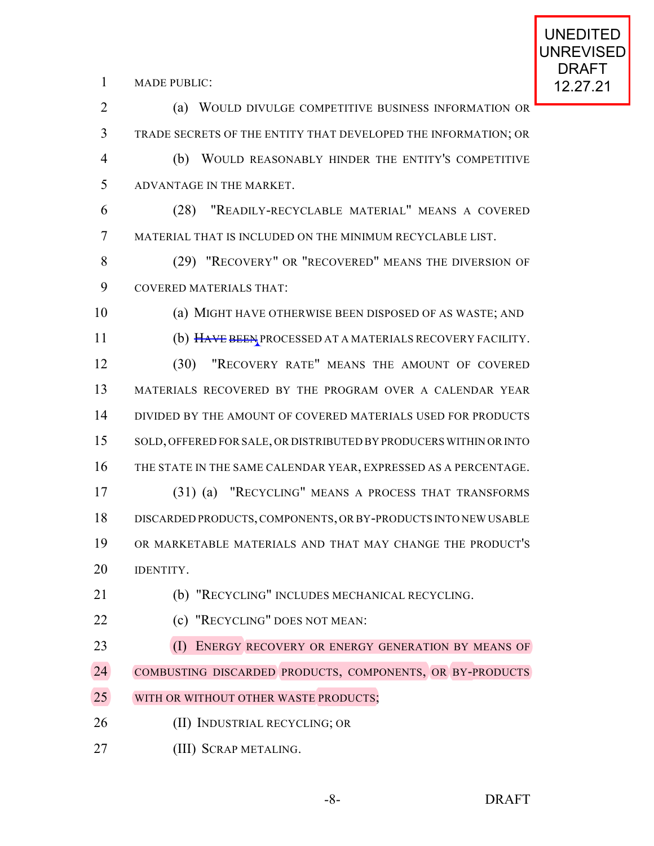1 MADE PUBLIC: **12.27.21** 

 (a) WOULD DIVULGE COMPETITIVE BUSINESS INFORMATION OR TRADE SECRETS OF THE ENTITY THAT DEVELOPED THE INFORMATION; OR (b) WOULD REASONABLY HINDER THE ENTITY'S COMPETITIVE ADVANTAGE IN THE MARKET. (28) "READILY-RECYCLABLE MATERIAL" MEANS A COVERED MATERIAL THAT IS INCLUDED ON THE MINIMUM RECYCLABLE LIST. (29) "RECOVERY" OR "RECOVERED" MEANS THE DIVERSION OF COVERED MATERIALS THAT: (a) MIGHT HAVE OTHERWISE BEEN DISPOSED OF AS WASTE; AND 11 (b) HAVE BEEN PROCESSED AT A MATERIALS RECOVERY FACILITY. (30) "RECOVERY RATE" MEANS THE AMOUNT OF COVERED MATERIALS RECOVERED BY THE PROGRAM OVER A CALENDAR YEAR 14 DIVIDED BY THE AMOUNT OF COVERED MATERIALS USED FOR PRODUCTS SOLD, OFFERED FOR SALE, OR DISTRIBUTED BY PRODUCERS WITHIN OR INTO THE STATE IN THE SAME CALENDAR YEAR, EXPRESSED AS A PERCENTAGE. (31) (a) "RECYCLING" MEANS A PROCESS THAT TRANSFORMS DISCARDED PRODUCTS,COMPONENTS, OR BY-PRODUCTS INTO NEW USABLE OR MARKETABLE MATERIALS AND THAT MAY CHANGE THE PRODUCT'S **IDENTITY.**  (b) "RECYCLING" INCLUDES MECHANICAL RECYCLING. (c) "RECYCLING" DOES NOT MEAN: 23 (I) ENERGY RECOVERY OR ENERGY GENERATION BY MEANS OF 24 COMBUSTING DISCARDED PRODUCTS, COMPONENTS, OR BY-PRODUCTS 25 WITH OR WITHOUT OTHER WASTE PRODUCTS; 26 (II) INDUSTRIAL RECYCLING; OR (III) SCRAP METALING.

-8- DRAFT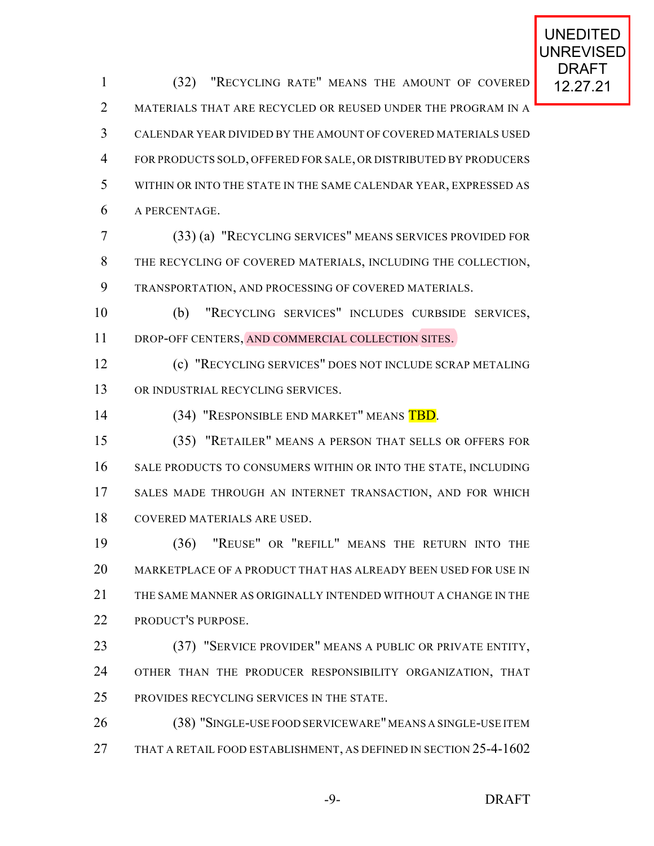1 (32) "RECYCLING RATE" MEANS THE AMOUNT OF COVERED 12.27.21 2 MATERIALS THAT ARE RECYCLED OR REUSED UNDER THE PROGRAM IN A CALENDAR YEAR DIVIDED BY THE AMOUNT OF COVERED MATERIALS USED FOR PRODUCTS SOLD, OFFERED FOR SALE, OR DISTRIBUTED BY PRODUCERS WITHIN OR INTO THE STATE IN THE SAME CALENDAR YEAR, EXPRESSED AS A PERCENTAGE. (33) (a) "RECYCLING SERVICES" MEANS SERVICES PROVIDED FOR THE RECYCLING OF COVERED MATERIALS, INCLUDING THE COLLECTION, TRANSPORTATION, AND PROCESSING OF COVERED MATERIALS. (b) "RECYCLING SERVICES" INCLUDES CURBSIDE SERVICES, DROP-OFF CENTERS, AND COMMERCIAL COLLECTION SITES.

 (c) "RECYCLING SERVICES" DOES NOT INCLUDE SCRAP METALING 13 OR INDUSTRIAL RECYCLING SERVICES.

14 (34) "RESPONSIBLE END MARKET" MEANS TBD.

 (35) "RETAILER" MEANS A PERSON THAT SELLS OR OFFERS FOR 16 SALE PRODUCTS TO CONSUMERS WITHIN OR INTO THE STATE, INCLUDING SALES MADE THROUGH AN INTERNET TRANSACTION, AND FOR WHICH COVERED MATERIALS ARE USED.

 (36) "REUSE" OR "REFILL" MEANS THE RETURN INTO THE MARKETPLACE OF A PRODUCT THAT HAS ALREADY BEEN USED FOR USE IN THE SAME MANNER AS ORIGINALLY INTENDED WITHOUT A CHANGE IN THE PRODUCT'S PURPOSE.

 (37) "SERVICE PROVIDER" MEANS A PUBLIC OR PRIVATE ENTITY, 24 OTHER THAN THE PRODUCER RESPONSIBILITY ORGANIZATION, THAT PROVIDES RECYCLING SERVICES IN THE STATE.

 (38) "SINGLE-USE FOOD SERVICEWARE"MEANS A SINGLE-USE ITEM THAT A RETAIL FOOD ESTABLISHMENT, AS DEFINED IN SECTION 25-4-1602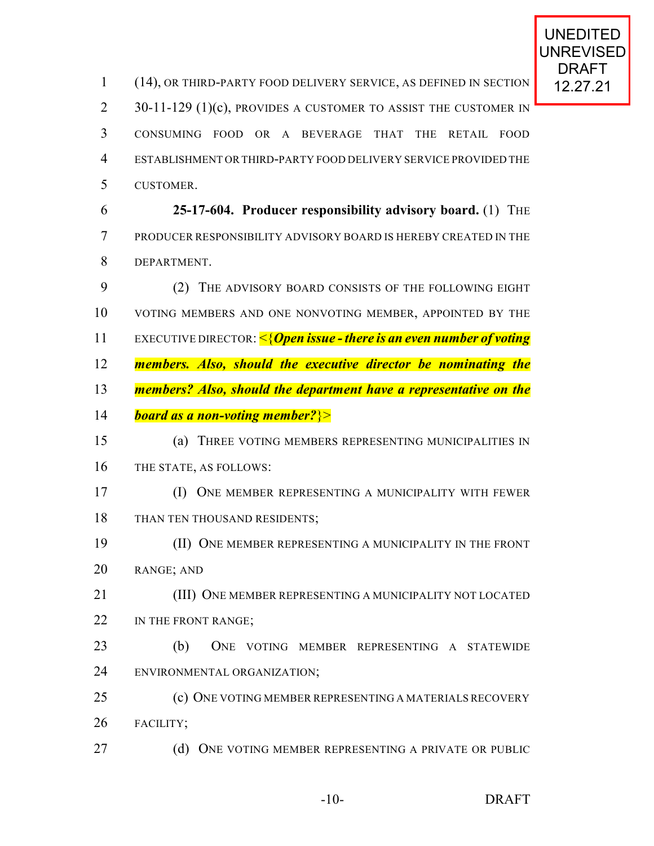1 (14), OR THIRD-PARTY FOOD DELIVERY SERVICE, AS DEFINED IN SECTION 12.27.21 2 30-11-129 (1)(c), PROVIDES A CUSTOMER TO ASSIST THE CUSTOMER IN CONSUMING FOOD OR A BEVERAGE THAT THE RETAIL FOOD ESTABLISHMENT ORTHIRD-PARTY FOOD DELIVERY SERVICE PROVIDED THE CUSTOMER. **25-17-604. Producer responsibility advisory board.** (1) THE PRODUCER RESPONSIBILITY ADVISORY BOARD IS HEREBY CREATED IN THE DEPARTMENT. (2) THE ADVISORY BOARD CONSISTS OF THE FOLLOWING EIGHT VOTING MEMBERS AND ONE NONVOTING MEMBER, APPOINTED BY THE EXECUTIVE DIRECTOR: <{*Open issue - there is an even number of voting members. Also, should the executive director be nominating the members? Also, should the department have a representative on the board as a non-voting member?*}> (a) THREE VOTING MEMBERS REPRESENTING MUNICIPALITIES IN THE STATE, AS FOLLOWS: (I) ONE MEMBER REPRESENTING A MUNICIPALITY WITH FEWER 18 THAN TEN THOUSAND RESIDENTS; (II) ONE MEMBER REPRESENTING A MUNICIPALITY IN THE FRONT RANGE; AND (III) ONE MEMBER REPRESENTING A MUNICIPALITY NOT LOCATED 22 IN THE FRONT RANGE; (b) ONE VOTING MEMBER REPRESENTING A STATEWIDE ENVIRONMENTAL ORGANIZATION; (c) ONE VOTING MEMBER REPRESENTING A MATERIALS RECOVERY FACILITY; 27 (d) ONE VOTING MEMBER REPRESENTING A PRIVATE OR PUBLIC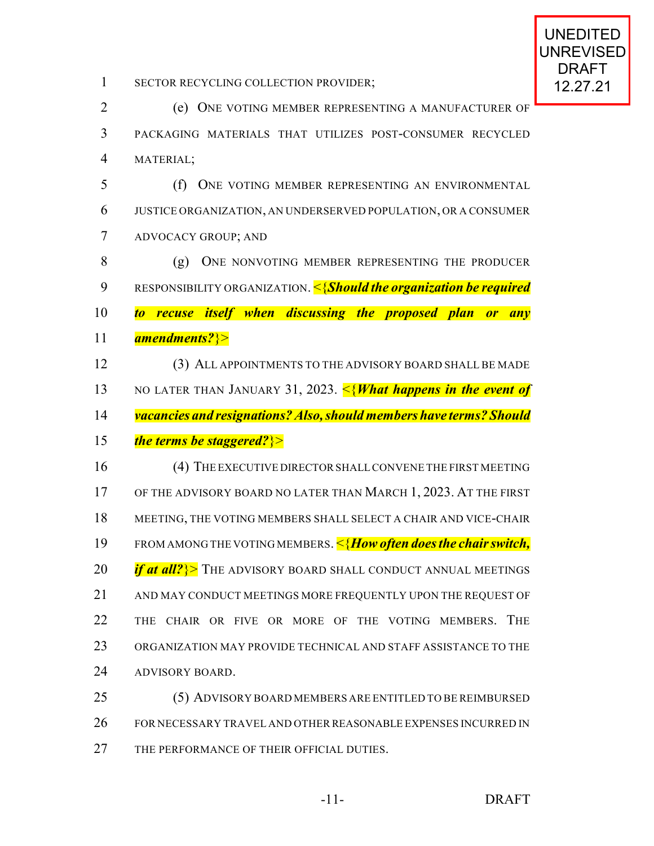1 SECTOR RECYCLING COLLECTION PROVIDER; 12.27.21

 (e) ONE VOTING MEMBER REPRESENTING A MANUFACTURER OF PACKAGING MATERIALS THAT UTILIZES POST-CONSUMER RECYCLED MATERIAL; (f) ONE VOTING MEMBER REPRESENTING AN ENVIRONMENTAL JUSTICE ORGANIZATION, AN UNDERSERVED POPULATION, OR A CONSUMER ADVOCACY GROUP; AND 8 (g) ONE NONVOTING MEMBER REPRESENTING THE PRODUCER RESPONSIBILITY ORGANIZATION. <{*Should the organization be required to recuse itself when discussing the proposed plan or any amendments?*}> (3) ALL APPOINTMENTS TO THE ADVISORY BOARD SHALL BE MADE NO LATER THAN JANUARY 31, 2023. <{*What happens in the event of vacancies and resignations? Also, should members have terms? Should the terms be staggered?*}> 16 (4) THE EXECUTIVE DIRECTOR SHALL CONVENE THE FIRST MEETING 17 OF THE ADVISORY BOARD NO LATER THAN MARCH 1, 2023. AT THE FIRST MEETING, THE VOTING MEMBERS SHALL SELECT A CHAIR AND VICE-CHAIR FROM AMONG THE VOTING MEMBERS. <{*How often does the chair switch, if at all?* > The ADVISORY BOARD SHALL CONDUCT ANNUAL MEETINGS 21 AND MAY CONDUCT MEETINGS MORE FREQUENTLY UPON THE REQUEST OF THE CHAIR OR FIVE OR MORE OF THE VOTING MEMBERS. THE ORGANIZATION MAY PROVIDE TECHNICAL AND STAFF ASSISTANCE TO THE ADVISORY BOARD. (5) ADVISORY BOARD MEMBERS ARE ENTITLED TO BE REIMBURSED FOR NECESSARY TRAVEL AND OTHERREASONABLE EXPENSES INCURRED IN

27 THE PERFORMANCE OF THEIR OFFICIAL DUTIES.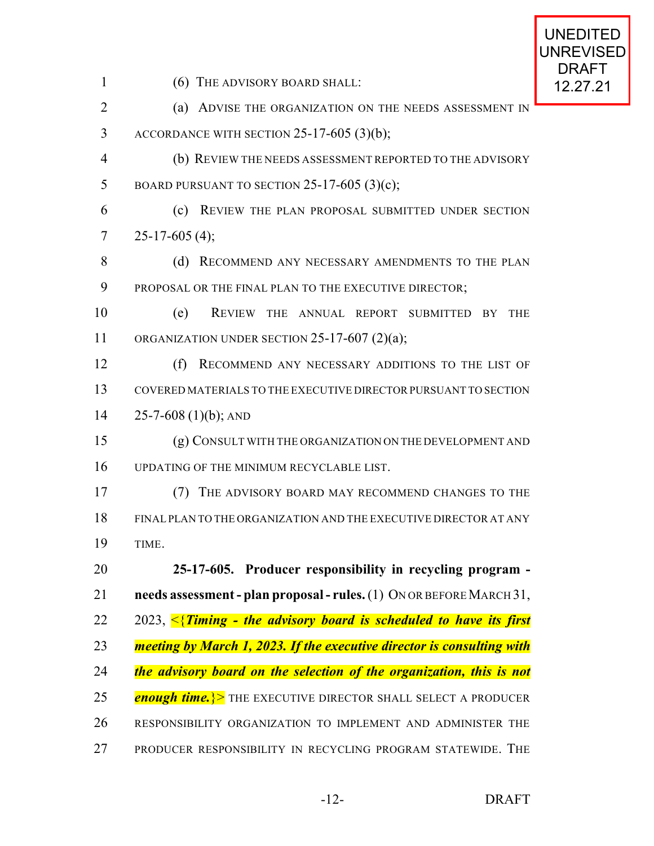1 (6) THE ADVISORY BOARD SHALL: 12.27.21

2 (a) ADVISE THE ORGANIZATION ON THE NEEDS ASSESSMENT IN ACCORDANCE WITH SECTION 25-17-605 (3)(b); (b) REVIEW THE NEEDS ASSESSMENT REPORTED TO THE ADVISORY 5 BOARD PURSUANT TO SECTION  $25-17-605$  (3)(c);

 (c) REVIEW THE PLAN PROPOSAL SUBMITTED UNDER SECTION  $7 \quad 25-17-605(4);$ 

8 (d) RECOMMEND ANY NECESSARY AMENDMENTS TO THE PLAN 9 PROPOSAL OR THE FINAL PLAN TO THE EXECUTIVE DIRECTOR;

 (e) REVIEW THE ANNUAL REPORT SUBMITTED BY THE 11 ORGANIZATION UNDER SECTION  $25-17-607$   $(2)(a)$ ;

 (f) RECOMMEND ANY NECESSARY ADDITIONS TO THE LIST OF COVERED MATERIALS TO THE EXECUTIVE DIRECTORPURSUANT TO SECTION 14  $25 - 7 - 608$  (1)(b); AND

 (g) CONSULT WITH THE ORGANIZATION ON THE DEVELOPMENT AND UPDATING OF THE MINIMUM RECYCLABLE LIST.

 (7) THE ADVISORY BOARD MAY RECOMMEND CHANGES TO THE FINAL PLAN TO THE ORGANIZATION AND THE EXECUTIVE DIRECTOR AT ANY TIME.

 **25-17-605. Producer responsibility in recycling program - needs assessment - plan proposal - rules.** (1) ON OR BEFORE MARCH 31, 2023, <{*Timing - the advisory board is scheduled to have its first meeting by March 1, 2023. If the executive director is consulting with the advisory board on the selection of the organization, this is not enough time.* > THE EXECUTIVE DIRECTOR SHALL SELECT A PRODUCER RESPONSIBILITY ORGANIZATION TO IMPLEMENT AND ADMINISTER THE PRODUCER RESPONSIBILITY IN RECYCLING PROGRAM STATEWIDE. THE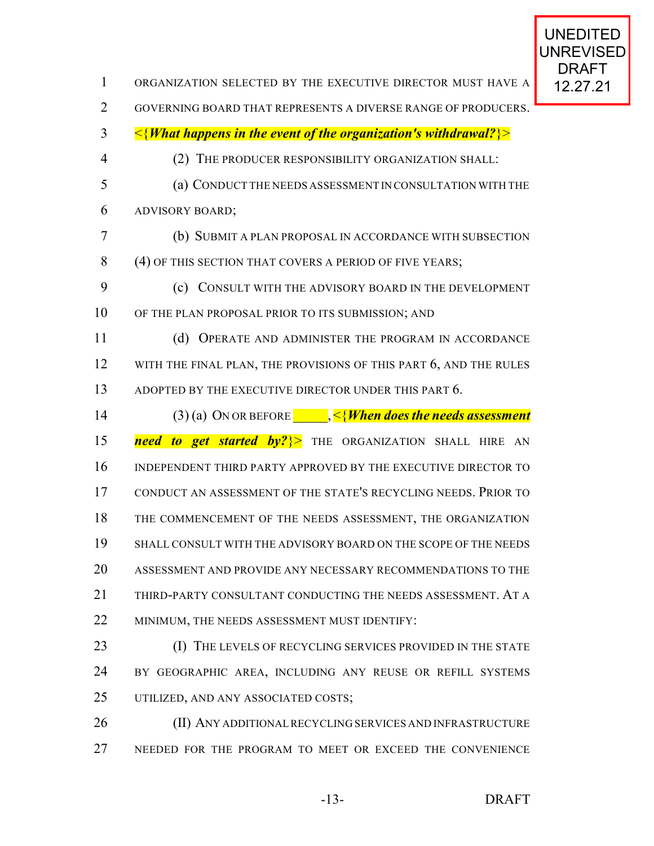| 1              | ORGANIZATION SELECTED BY THE EXECUTIVE DIRECTOR MUST HAVE A                       | DRAF I<br>12.27.21 |
|----------------|-----------------------------------------------------------------------------------|--------------------|
| $\overline{2}$ | GOVERNING BOARD THAT REPRESENTS A DIVERSE RANGE OF PRODUCERS.                     |                    |
| 3              | $\leq$ { <i>What happens in the event of the organization's withdrawal?</i> } $>$ |                    |
| $\overline{4}$ | THE PRODUCER RESPONSIBILITY ORGANIZATION SHALL:<br>(2)                            |                    |
| 5              | (a) CONDUCT THE NEEDS ASSESSMENT IN CONSULTATION WITH THE                         |                    |
| 6              | <b>ADVISORY BOARD;</b>                                                            |                    |
| 7              | (b) SUBMIT A PLAN PROPOSAL IN ACCORDANCE WITH SUBSECTION                          |                    |
| 8              | (4) OF THIS SECTION THAT COVERS A PERIOD OF FIVE YEARS;                           |                    |
| 9              | CONSULT WITH THE ADVISORY BOARD IN THE DEVELOPMENT<br>(c)                         |                    |
| 10             | OF THE PLAN PROPOSAL PRIOR TO ITS SUBMISSION; AND                                 |                    |
| 11             | OPERATE AND ADMINISTER THE PROGRAM IN ACCORDANCE<br>(d)                           |                    |
| 12             | WITH THE FINAL PLAN, THE PROVISIONS OF THIS PART 6, AND THE RULES                 |                    |
| 13             | ADOPTED BY THE EXECUTIVE DIRECTOR UNDER THIS PART 6.                              |                    |
| 14             | (3) (a) ON OR BEFORE $\Box$ , <{ <i>When does the needs assessment</i>            |                    |
| 15             | need to get started by?}> THE ORGANIZATION SHALL HIRE AN                          |                    |
| 16             | INDEPENDENT THIRD PARTY APPROVED BY THE EXECUTIVE DIRECTOR TO                     |                    |
| 17             | CONDUCT AN ASSESSMENT OF THE STATE'S RECYCLING NEEDS. PRIOR TO                    |                    |
| 18             | THE COMMENCEMENT OF THE NEEDS ASSESSMENT, THE ORGANIZATION                        |                    |
| 19             | SHALL CONSULT WITH THE ADVISORY BOARD ON THE SCOPE OF THE NEEDS                   |                    |
| 20             | ASSESSMENT AND PROVIDE ANY NECESSARY RECOMMENDATIONS TO THE                       |                    |
| 21             | THIRD-PARTY CONSULTANT CONDUCTING THE NEEDS ASSESSMENT. AT A                      |                    |
| 22             | MINIMUM, THE NEEDS ASSESSMENT MUST IDENTIFY:                                      |                    |
| 23             | (I) THE LEVELS OF RECYCLING SERVICES PROVIDED IN THE STATE                        |                    |
| 24             | BY GEOGRAPHIC AREA, INCLUDING ANY REUSE OR REFILL SYSTEMS                         |                    |
| 25             | UTILIZED, AND ANY ASSOCIATED COSTS;                                               |                    |
| 26             | (II) ANY ADDITIONAL RECYCLING SERVICES AND INFRASTRUCTURE                         |                    |
| 27             | NEEDED FOR THE PROGRAM TO MEET OR EXCEED THE CONVENIENCE                          |                    |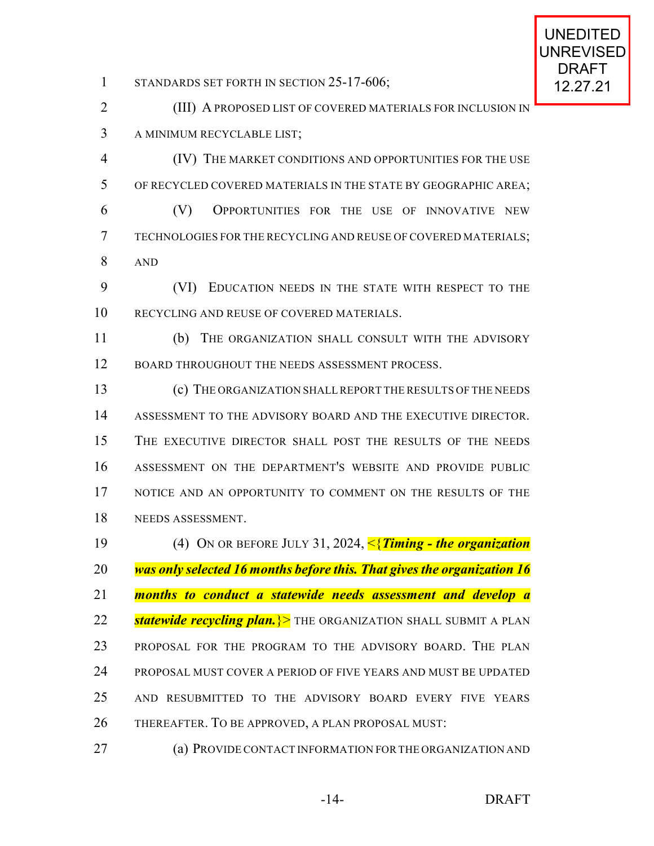1 STANDARDS SET FORTH IN SECTION 25-17-606; 12.27.21

**(III) A PROPOSED LIST OF COVERED MATERIALS FOR INCLUSION IN** A MINIMUM RECYCLABLE LIST;

 (IV) THE MARKET CONDITIONS AND OPPORTUNITIES FOR THE USE OF RECYCLED COVERED MATERIALS IN THE STATE BY GEOGRAPHIC AREA; (V) OPPORTUNITIES FOR THE USE OF INNOVATIVE NEW TECHNOLOGIES FOR THE RECYCLING AND REUSE OF COVERED MATERIALS; AND

 (VI) EDUCATION NEEDS IN THE STATE WITH RESPECT TO THE RECYCLING AND REUSE OF COVERED MATERIALS.

 (b) THE ORGANIZATION SHALL CONSULT WITH THE ADVISORY 12 BOARD THROUGHOUT THE NEEDS ASSESSMENT PROCESS.

 (c) THE ORGANIZATION SHALL REPORT THE RESULTS OF THE NEEDS ASSESSMENT TO THE ADVISORY BOARD AND THE EXECUTIVE DIRECTOR. THE EXECUTIVE DIRECTOR SHALL POST THE RESULTS OF THE NEEDS ASSESSMENT ON THE DEPARTMENT'S WEBSITE AND PROVIDE PUBLIC NOTICE AND AN OPPORTUNITY TO COMMENT ON THE RESULTS OF THE NEEDS ASSESSMENT.

 (4) ON OR BEFORE JULY 31, 2024, <{*Timing - the organization was only selected 16 months before this. That gives the organization 16 months to conduct a statewide needs assessment and develop a statewide recycling plan.*}> THE ORGANIZATION SHALL SUBMIT A PLAN PROPOSAL FOR THE PROGRAM TO THE ADVISORY BOARD. THE PLAN PROPOSAL MUST COVER A PERIOD OF FIVE YEARS AND MUST BE UPDATED AND RESUBMITTED TO THE ADVISORY BOARD EVERY FIVE YEARS THEREAFTER. TO BE APPROVED, A PLAN PROPOSAL MUST:

(a) PROVIDE CONTACT INFORMATION FORTHE ORGANIZATION AND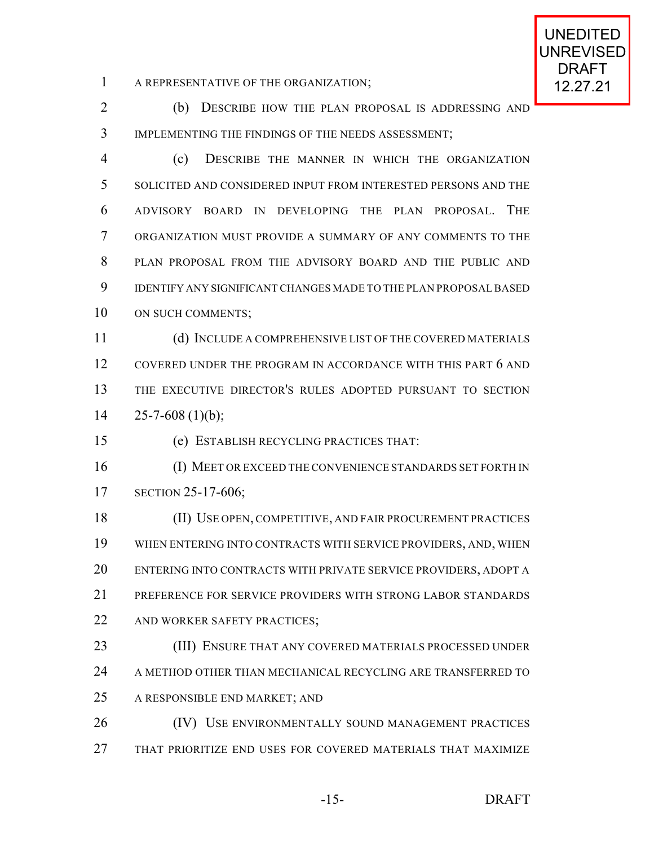1 A REPRESENTATIVE OF THE ORGANIZATION; 12.27.21

 (b) DESCRIBE HOW THE PLAN PROPOSAL IS ADDRESSING AND IMPLEMENTING THE FINDINGS OF THE NEEDS ASSESSMENT;

 (c) DESCRIBE THE MANNER IN WHICH THE ORGANIZATION SOLICITED AND CONSIDERED INPUT FROM INTERESTED PERSONS AND THE ADVISORY BOARD IN DEVELOPING THE PLAN PROPOSAL. THE ORGANIZATION MUST PROVIDE A SUMMARY OF ANY COMMENTS TO THE PLAN PROPOSAL FROM THE ADVISORY BOARD AND THE PUBLIC AND IDENTIFY ANY SIGNIFICANT CHANGES MADE TO THE PLAN PROPOSAL BASED 10 ON SUCH COMMENTS;

 (d) INCLUDE A COMPREHENSIVE LIST OF THE COVERED MATERIALS 12 COVERED UNDER THE PROGRAM IN ACCORDANCE WITH THIS PART 6 AND THE EXECUTIVE DIRECTOR'S RULES ADOPTED PURSUANT TO SECTION  $14 \qquad 25 - 7 - 608 \tag{1)}{b}$ ;

(e) ESTABLISH RECYCLING PRACTICES THAT:

 (I) MEET OR EXCEED THE CONVENIENCE STANDARDS SET FORTH IN SECTION 25-17-606;

 (II) USE OPEN, COMPETITIVE, AND FAIR PROCUREMENT PRACTICES WHEN ENTERING INTO CONTRACTS WITH SERVICE PROVIDERS, AND, WHEN ENTERING INTO CONTRACTS WITH PRIVATE SERVICE PROVIDERS, ADOPT A PREFERENCE FOR SERVICE PROVIDERS WITH STRONG LABOR STANDARDS 22 AND WORKER SAFETY PRACTICES;

 (III) ENSURE THAT ANY COVERED MATERIALS PROCESSED UNDER 24 A METHOD OTHER THAN MECHANICAL RECYCLING ARE TRANSFERRED TO A RESPONSIBLE END MARKET; AND

26 (IV) USE ENVIRONMENTALLY SOUND MANAGEMENT PRACTICES THAT PRIORITIZE END USES FOR COVERED MATERIALS THAT MAXIMIZE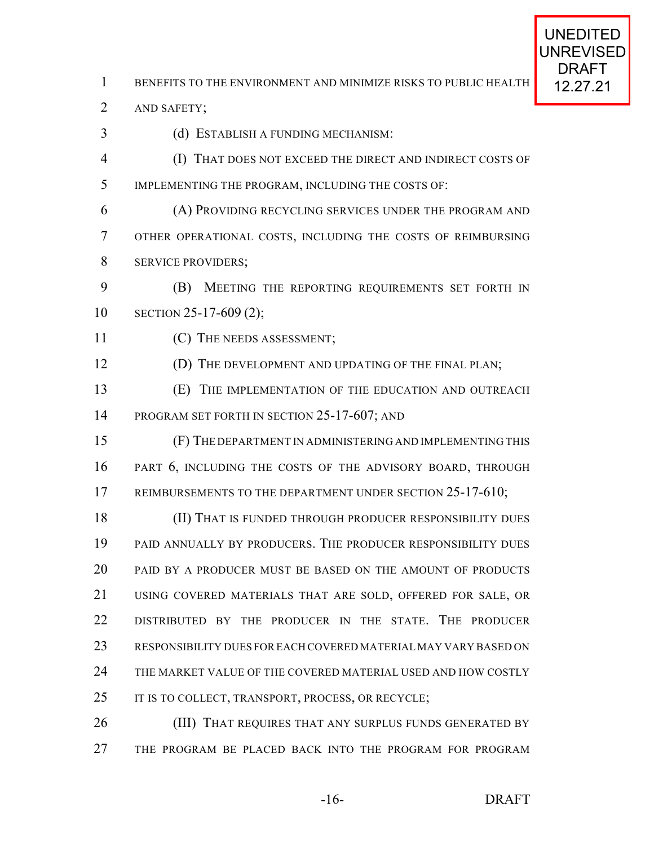1 BENEFITS TO THE ENVIRONMENT AND MINIMIZE RISKS TO PUBLIC HEALTH 12.27.21

AND SAFETY;

- (d) ESTABLISH A FUNDING MECHANISM:
- (I) THAT DOES NOT EXCEED THE DIRECT AND INDIRECT COSTS OF IMPLEMENTING THE PROGRAM, INCLUDING THE COSTS OF:
- (A) PROVIDING RECYCLING SERVICES UNDER THE PROGRAM AND OTHER OPERATIONAL COSTS, INCLUDING THE COSTS OF REIMBURSING SERVICE PROVIDERS;
- (B) MEETING THE REPORTING REQUIREMENTS SET FORTH IN SECTION 25-17-609 (2);
- 11 (C) THE NEEDS ASSESSMENT;
- **(D)** THE DEVELOPMENT AND UPDATING OF THE FINAL PLAN;
- (E) THE IMPLEMENTATION OF THE EDUCATION AND OUTREACH 14 PROGRAM SET FORTH IN SECTION 25-17-607; AND
- (F) THE DEPARTMENT IN ADMINISTERING AND IMPLEMENTING THIS PART 6, INCLUDING THE COSTS OF THE ADVISORY BOARD, THROUGH 17 REIMBURSEMENTS TO THE DEPARTMENT UNDER SECTION 25-17-610;
- **(II) THAT IS FUNDED THROUGH PRODUCER RESPONSIBILITY DUES**  PAID ANNUALLY BY PRODUCERS. THE PRODUCER RESPONSIBILITY DUES PAID BY A PRODUCER MUST BE BASED ON THE AMOUNT OF PRODUCTS USING COVERED MATERIALS THAT ARE SOLD, OFFERED FOR SALE, OR DISTRIBUTED BY THE PRODUCER IN THE STATE. THE PRODUCER RESPONSIBILITY DUES FOREACH COVERED MATERIALMAY VARY BASED ON THE MARKET VALUE OF THE COVERED MATERIAL USED AND HOW COSTLY 25 IT IS TO COLLECT, TRANSPORT, PROCESS, OR RECYCLE;
- **(III) THAT REQUIRES THAT ANY SURPLUS FUNDS GENERATED BY** THE PROGRAM BE PLACED BACK INTO THE PROGRAM FOR PROGRAM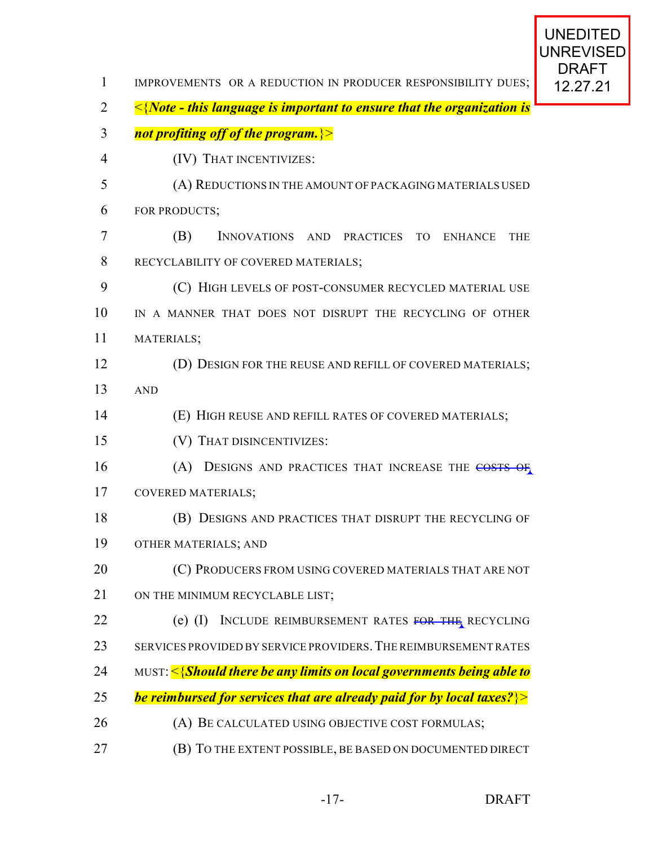| $\mathbf{1}$   | IMPROVEMENTS OR A REDUCTION IN PRODUCER RESPONSIBILITY DUES;                 | URAF I<br>12.27.21 |
|----------------|------------------------------------------------------------------------------|--------------------|
| $\overline{2}$ | $\leq$ {Note - this language is important to ensure that the organization is |                    |
| 3              | not profiting off of the program. >>                                         |                    |
| $\overline{4}$ | (IV) THAT INCENTIVIZES:                                                      |                    |
| 5              | (A) REDUCTIONS IN THE AMOUNT OF PACKAGING MATERIALS USED                     |                    |
| 6              | FOR PRODUCTS;                                                                |                    |
| 7              | (B)<br>INNOVATIONS AND PRACTICES TO<br><b>ENHANCE</b><br><b>THE</b>          |                    |
| 8              | RECYCLABILITY OF COVERED MATERIALS;                                          |                    |
| 9              | (C) HIGH LEVELS OF POST-CONSUMER RECYCLED MATERIAL USE                       |                    |
| 10             | IN A MANNER THAT DOES NOT DISRUPT THE RECYCLING OF OTHER                     |                    |
| 11             | MATERIALS;                                                                   |                    |
| 12             | (D) DESIGN FOR THE REUSE AND REFILL OF COVERED MATERIALS;                    |                    |
| 13             | <b>AND</b>                                                                   |                    |
| 14             | (E) HIGH REUSE AND REFILL RATES OF COVERED MATERIALS;                        |                    |
| 15             | (V) THAT DISINCENTIVIZES:                                                    |                    |
| 16             | (A) DESIGNS AND PRACTICES THAT INCREASE THE COSTS OF                         |                    |
| 17             | <b>COVERED MATERIALS;</b>                                                    |                    |
| 18             | (B) DESIGNS AND PRACTICES THAT DISRUPT THE RECYCLING OF                      |                    |
| 19             | OTHER MATERIALS; AND                                                         |                    |
| 20             | (C) PRODUCERS FROM USING COVERED MATERIALS THAT ARE NOT                      |                    |
| 21             | ON THE MINIMUM RECYCLABLE LIST;                                              |                    |
| 22             | $(e)$ (I)<br>INCLUDE REIMBURSEMENT RATES FOR THE RECYCLING                   |                    |
| 23             | SERVICES PROVIDED BY SERVICE PROVIDERS. THE REIMBURSEMENT RATES              |                    |
| 24             | MUST: <{Should there be any limits on local governments being able to        |                    |
| 25             | be reimbursed for services that are already paid for by local taxes? $\geq$  |                    |
| 26             | (A) BE CALCULATED USING OBJECTIVE COST FORMULAS;                             |                    |
| $27\,$         | (B) TO THE EXTENT POSSIBLE, BE BASED ON DOCUMENTED DIRECT                    |                    |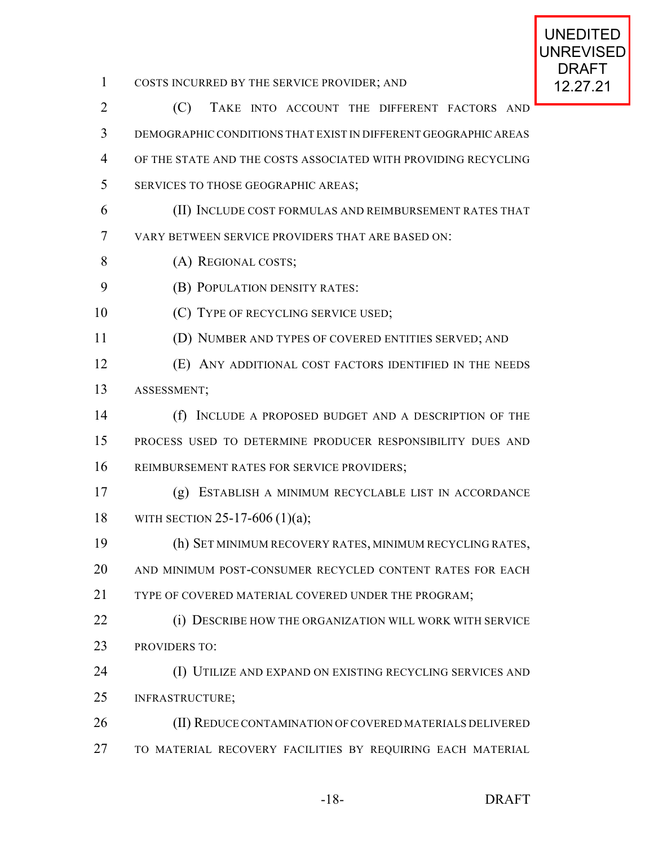UNREVISED 1 COSTS INCURRED BY THE SERVICE PROVIDER; AND 12.27.21 (C) TAKE INTO ACCOUNT THE DIFFERENT FACTORS AND DEMOGRAPHIC CONDITIONS THAT EXIST IN DIFFERENT GEOGRAPHIC AREAS OF THE STATE AND THE COSTS ASSOCIATED WITH PROVIDING RECYCLING SERVICES TO THOSE GEOGRAPHIC AREAS; (II) INCLUDE COST FORMULAS AND REIMBURSEMENT RATES THAT VARY BETWEEN SERVICE PROVIDERS THAT ARE BASED ON: 8 (A) REGIONAL COSTS; **(B) POPULATION DENSITY RATES:** 10 (C) TYPE OF RECYCLING SERVICE USED; (D) NUMBER AND TYPES OF COVERED ENTITIES SERVED; AND (E) ANY ADDITIONAL COST FACTORS IDENTIFIED IN THE NEEDS ASSESSMENT; (f) INCLUDE A PROPOSED BUDGET AND A DESCRIPTION OF THE PROCESS USED TO DETERMINE PRODUCER RESPONSIBILITY DUES AND REIMBURSEMENT RATES FOR SERVICE PROVIDERS; (g) ESTABLISH A MINIMUM RECYCLABLE LIST IN ACCORDANCE WITH SECTION 25-17-606 (1)(a); (h) SET MINIMUM RECOVERY RATES, MINIMUM RECYCLING RATES, AND MINIMUM POST-CONSUMER RECYCLED CONTENT RATES FOR EACH 21 TYPE OF COVERED MATERIAL COVERED UNDER THE PROGRAM: **(i) DESCRIBE HOW THE ORGANIZATION WILL WORK WITH SERVICE**  PROVIDERS TO: (I) UTILIZE AND EXPAND ON EXISTING RECYCLING SERVICES AND INFRASTRUCTURE; 26 (II) REDUCE CONTAMINATION OF COVERED MATERIALS DELIVERED TO MATERIAL RECOVERY FACILITIES BY REQUIRING EACH MATERIAL

UNEDITED

DRAFT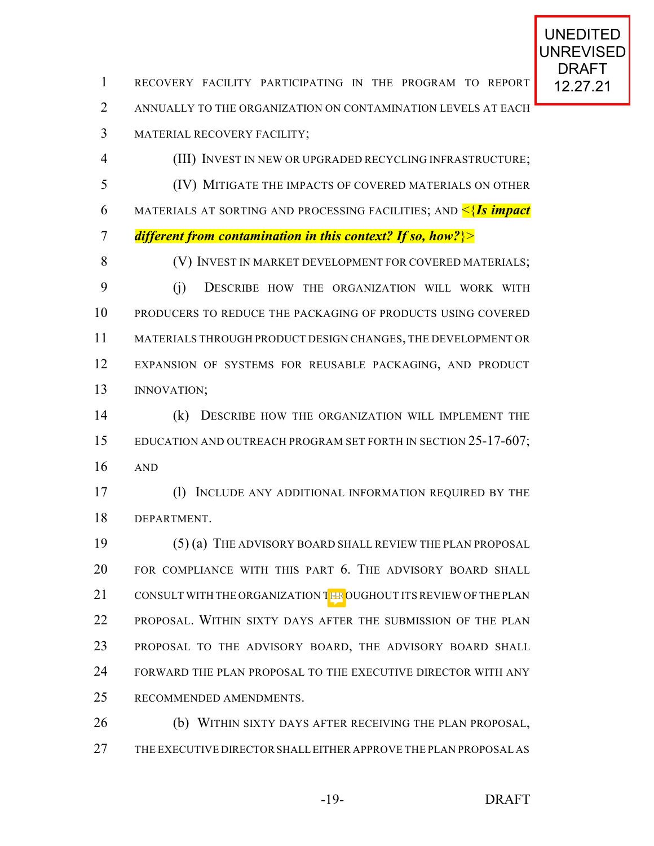1 RECOVERY FACILITY PARTICIPATING IN THE PROGRAM TO REPORT 12.27.21 ANNUALLY TO THE ORGANIZATION ON CONTAMINATION LEVELS AT EACH MATERIAL RECOVERY FACILITY; (III) INVEST IN NEW OR UPGRADED RECYCLING INFRASTRUCTURE; (IV) MITIGATE THE IMPACTS OF COVERED MATERIALS ON OTHER MATERIALS AT SORTING AND PROCESSING FACILITIES; AND <{*Is impact different from contamination in this context? If so, how?*}> 8 (V) INVEST IN MARKET DEVELOPMENT FOR COVERED MATERIALS; (j) DESCRIBE HOW THE ORGANIZATION WILL WORK WITH PRODUCERS TO REDUCE THE PACKAGING OF PRODUCTS USING COVERED MATERIALS THROUGH PRODUCT DESIGN CHANGES, THE DEVELOPMENT OR EXPANSION OF SYSTEMS FOR REUSABLE PACKAGING, AND PRODUCT INNOVATION; (k) DESCRIBE HOW THE ORGANIZATION WILL IMPLEMENT THE 15 EDUCATION AND OUTREACH PROGRAM SET FORTH IN SECTION 25-17-607; AND (l) INCLUDE ANY ADDITIONAL INFORMATION REQUIRED BY THE DEPARTMENT. (5) (a) THE ADVISORY BOARD SHALL REVIEW THE PLAN PROPOSAL FOR COMPLIANCE WITH THIS PART 6. THE ADVISORY BOARD SHALL

21 CONSULT WITH THE ORGANIZATION THE OUGHOUT ITS REVIEW OF THE PLAN PROPOSAL. WITHIN SIXTY DAYS AFTER THE SUBMISSION OF THE PLAN PROPOSAL TO THE ADVISORY BOARD, THE ADVISORY BOARD SHALL FORWARD THE PLAN PROPOSAL TO THE EXECUTIVE DIRECTOR WITH ANY RECOMMENDED AMENDMENTS.

 (b) WITHIN SIXTY DAYS AFTER RECEIVING THE PLAN PROPOSAL, THE EXECUTIVE DIRECTORSHALLEITHER APPROVE THE PLAN PROPOSAL AS

-19- DRAFT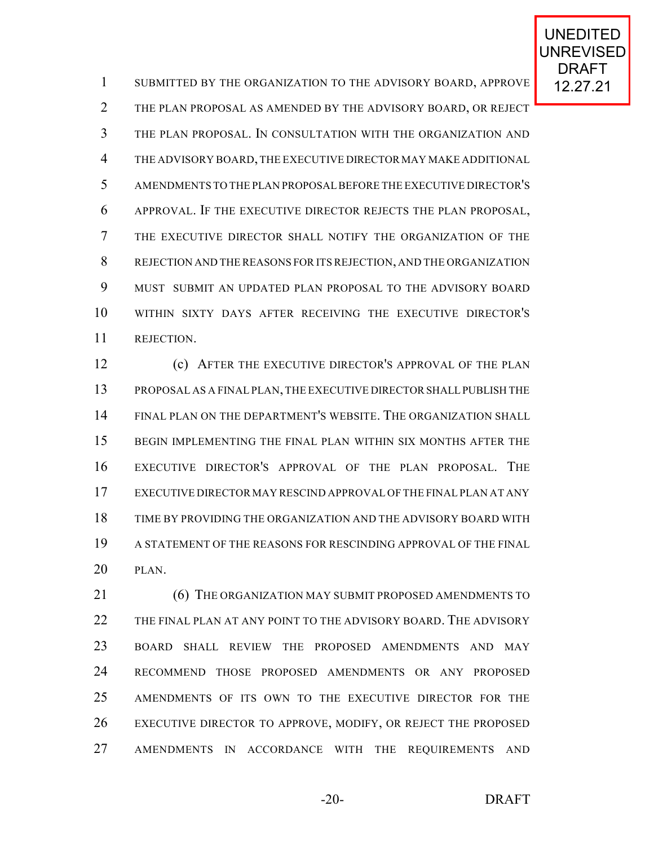1 SUBMITTED BY THE ORGANIZATION TO THE ADVISORY BOARD, APPROVE 12.27.21 THE PLAN PROPOSAL AS AMENDED BY THE ADVISORY BOARD, OR REJECT THE PLAN PROPOSAL. IN CONSULTATION WITH THE ORGANIZATION AND THE ADVISORY BOARD,THE EXECUTIVE DIRECTOR MAY MAKE ADDITIONAL AMENDMENTS TO THE PLAN PROPOSALBEFORE THE EXECUTIVE DIRECTOR'S APPROVAL. IF THE EXECUTIVE DIRECTOR REJECTS THE PLAN PROPOSAL, THE EXECUTIVE DIRECTOR SHALL NOTIFY THE ORGANIZATION OF THE REJECTION AND THE REASONS FOR ITS REJECTION, AND THE ORGANIZATION MUST SUBMIT AN UPDATED PLAN PROPOSAL TO THE ADVISORY BOARD WITHIN SIXTY DAYS AFTER RECEIVING THE EXECUTIVE DIRECTOR'S REJECTION.

 (c) AFTER THE EXECUTIVE DIRECTOR'S APPROVAL OF THE PLAN PROPOSAL AS A FINAL PLAN, THE EXECUTIVE DIRECTORSHALLPUBLISH THE FINAL PLAN ON THE DEPARTMENT'S WEBSITE. THE ORGANIZATION SHALL BEGIN IMPLEMENTING THE FINAL PLAN WITHIN SIX MONTHS AFTER THE EXECUTIVE DIRECTOR'S APPROVAL OF THE PLAN PROPOSAL. THE EXECUTIVE DIRECTOR MAY RESCIND APPROVAL OF THE FINAL PLAN AT ANY TIME BY PROVIDING THE ORGANIZATION AND THE ADVISORY BOARD WITH A STATEMENT OF THE REASONS FOR RESCINDING APPROVAL OF THE FINAL PLAN.

 (6) THE ORGANIZATION MAY SUBMIT PROPOSED AMENDMENTS TO 22 THE FINAL PLAN AT ANY POINT TO THE ADVISORY BOARD. THE ADVISORY BOARD SHALL REVIEW THE PROPOSED AMENDMENTS AND MAY RECOMMEND THOSE PROPOSED AMENDMENTS OR ANY PROPOSED AMENDMENTS OF ITS OWN TO THE EXECUTIVE DIRECTOR FOR THE EXECUTIVE DIRECTOR TO APPROVE, MODIFY, OR REJECT THE PROPOSED AMENDMENTS IN ACCORDANCE WITH THE REQUIREMENTS AND

-20- DRAFT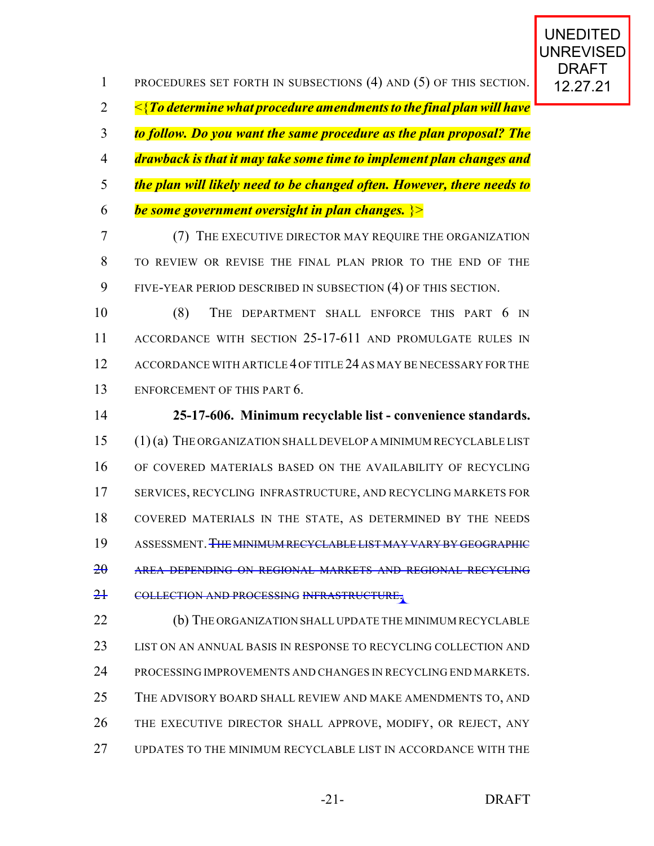1 PROCEDURES SET FORTH IN SUBSECTIONS (4) AND (5) OF THIS SECTION. 12.27.21 <{*To determine what procedure amendments to the final plan will have to follow. Do you want the same procedure as the plan proposal? The drawback is that it may take some time to implement plan changes and the plan will likely need to be changed often. However, there needs to be some government oversight in plan changes.* }>

 (7) THE EXECUTIVE DIRECTOR MAY REQUIRE THE ORGANIZATION TO REVIEW OR REVISE THE FINAL PLAN PRIOR TO THE END OF THE FIVE-YEAR PERIOD DESCRIBED IN SUBSECTION (4) OF THIS SECTION.

 (8) THE DEPARTMENT SHALL ENFORCE THIS PART 6 IN ACCORDANCE WITH SECTION 25-17-611 AND PROMULGATE RULES IN 12 ACCORDANCE WITH ARTICLE 4 OF TITLE 24 AS MAY BE NECESSARY FOR THE ENFORCEMENT OF THIS PART 6.

 **25-17-606. Minimum recyclable list - convenience standards.** (1) (a) THE ORGANIZATION SHALL DEVELOP A MINIMUM RECYCLABLE LIST OF COVERED MATERIALS BASED ON THE AVAILABILITY OF RECYCLING SERVICES, RECYCLING INFRASTRUCTURE, AND RECYCLING MARKETS FOR COVERED MATERIALS IN THE STATE, AS DETERMINED BY THE NEEDS 19 ASSESSMENT. THE MINIMUM RECYCLABLE LIST MAY VARY BY GEOGRAPHIC AREA DEPENDING ON REGIONAL MARKETS AND REGIONAL RECYCLING 21 COLLECTION AND PROCESSING INFRASTRUCTURE.

**(b)** THE ORGANIZATION SHALL UPDATE THE MINIMUM RECYCLABLE LIST ON AN ANNUAL BASIS IN RESPONSE TO RECYCLING COLLECTION AND PROCESSING IMPROVEMENTS AND CHANGES IN RECYCLING END MARKETS. 25 THE ADVISORY BOARD SHALL REVIEW AND MAKE AMENDMENTS TO, AND THE EXECUTIVE DIRECTOR SHALL APPROVE, MODIFY, OR REJECT, ANY UPDATES TO THE MINIMUM RECYCLABLE LIST IN ACCORDANCE WITH THE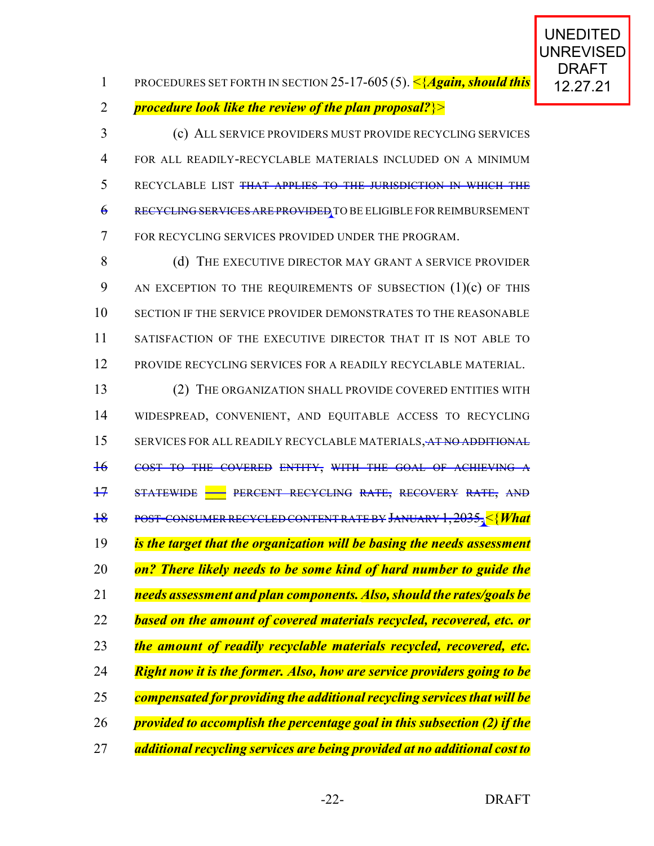12.27.21 PROCEDURES SET FORTH IN SECTION 25-17-605 (5). <{*Again, should this procedure look like the review of the plan proposal?*}>

 (c) ALL SERVICE PROVIDERS MUST PROVIDE RECYCLING SERVICES FOR ALL READILY-RECYCLABLE MATERIALS INCLUDED ON A MINIMUM RECYCLABLE LIST THAT APPLIES TO THE JURISDICTION IN WHICH THE RECYCLING SERVICES ARE PROVIDED TO BE ELIGIBLE FORREIMBURSEMENT FOR RECYCLING SERVICES PROVIDED UNDER THE PROGRAM.

8 (d) THE EXECUTIVE DIRECTOR MAY GRANT A SERVICE PROVIDER 9 AN EXCEPTION TO THE REQUIREMENTS OF SUBSECTION (1)(c) OF THIS 10 SECTION IF THE SERVICE PROVIDER DEMONSTRATES TO THE REASONABLE SATISFACTION OF THE EXECUTIVE DIRECTOR THAT IT IS NOT ABLE TO PROVIDE RECYCLING SERVICES FOR A READILY RECYCLABLE MATERIAL.

 (2) THE ORGANIZATION SHALL PROVIDE COVERED ENTITIES WITH WIDESPREAD, CONVENIENT, AND EQUITABLE ACCESS TO RECYCLING 15 SERVICES FOR ALL READILY RECYCLABLE MATERIALS, AT NO ADDITIONAL COST TO THE COVERED ENTITY, WITH THE GOAL OF ACHIEVING A 17 STATEWIDE **- PERCENT RECYCLING RATE, RECOVERY RATE, AND**  POST-CONSUMER RECYCLED CONTENT RATE BY JANUARY 1,2035.<{*What is the target that the organization will be basing the needs assessment on? There likely needs to be some kind of hard number to guide the needs assessment and plan components. Also, should the rates/goals be based on the amount of covered materials recycled, recovered, etc. or the amount of readily recyclable materials recycled, recovered, etc. Right now it is the former. Also, how are service providers going to be compensated for providing the additional recycling services that will be provided to accomplish the percentage goal in this subsection (2) if the additional recycling services are being provided at no additional cost to*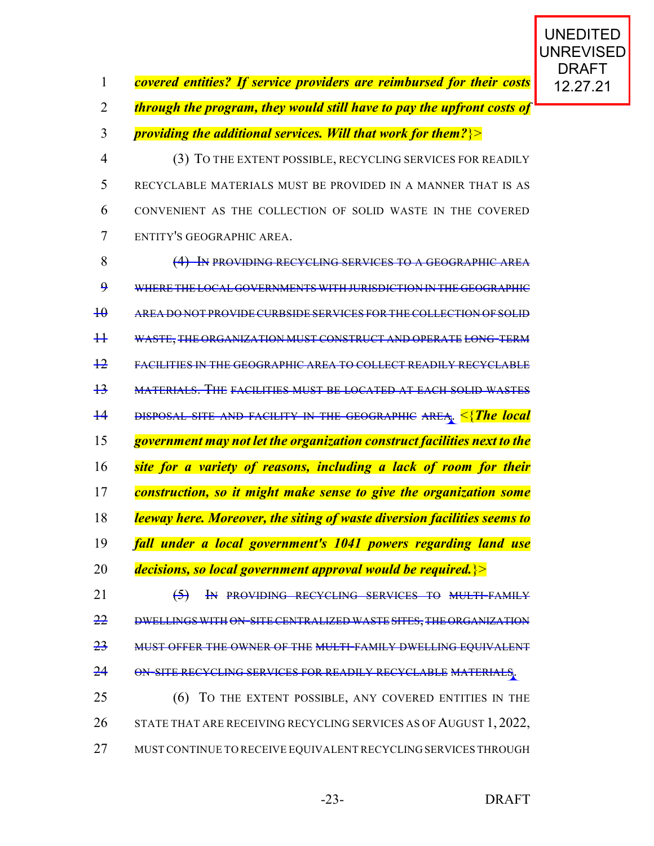| covered entities? If service providers are reimbursed for their costs   12.27.21 |  |  |  |
|----------------------------------------------------------------------------------|--|--|--|
|                                                                                  |  |  |  |

*through the program, they would still have to pay the upfront costs of*

*providing the additional services. Will that work for them?*}>

 (3) TO THE EXTENT POSSIBLE, RECYCLING SERVICES FOR READILY RECYCLABLE MATERIALS MUST BE PROVIDED IN A MANNER THAT IS AS CONVENIENT AS THE COLLECTION OF SOLID WASTE IN THE COVERED ENTITY'S GEOGRAPHIC AREA.

 (4) IN PROVIDING RECYCLING SERVICES TO A GEOGRAPHIC AREA WHERE THE LOCAL GOVERNMENTS WITH JURISDICTION IN THE GEOGRAPHIC AREA DO NOT PROVIDE CURBSIDE SERVICES FOR THE COLLECTION OF SOLID WASTE, THE ORGANIZATION MUST CONSTRUCT AND OPERATE LONG-TERM FACILITIES IN THE GEOGRAPHIC AREA TO COLLECT READILY RECYCLABLE MATERIALS. THE FACILITIES MUST BE LOCATED AT EACH SOLID WASTES DISPOSAL SITE AND FACILITY IN THE GEOGRAPHIC AREA. <{*The local government may not let the organization construct facilities next to the site for a variety of reasons, including a lack of room for their construction, so it might make sense to give the organization some leeway here. Moreover, the siting of waste diversion facilities seems to fall under a local government's 1041 powers regarding land use decisions, so local government approval would be required.*}> **(5)** In PROVIDING RECYCLING SERVICES TO MULTI-FAMILY 22 DWELLINGS WITH ON-SITE CENTRALIZED WASTE SITES, THE ORGANIZATION MUST OFFER THE OWNER OF THE MULTI-FAMILY DWELLING EQUIVALENT

24 ON-SITE RECYCLING SERVICES FOR READILY RECYCLABLE MATERIALS.

 (6) TO THE EXTENT POSSIBLE, ANY COVERED ENTITIES IN THE 26 STATE THAT ARE RECEIVING RECYCLING SERVICES AS OF AUGUST 1, 2022, MUST CONTINUE TO RECEIVE EQUIVALENT RECYCLING SERVICES THROUGH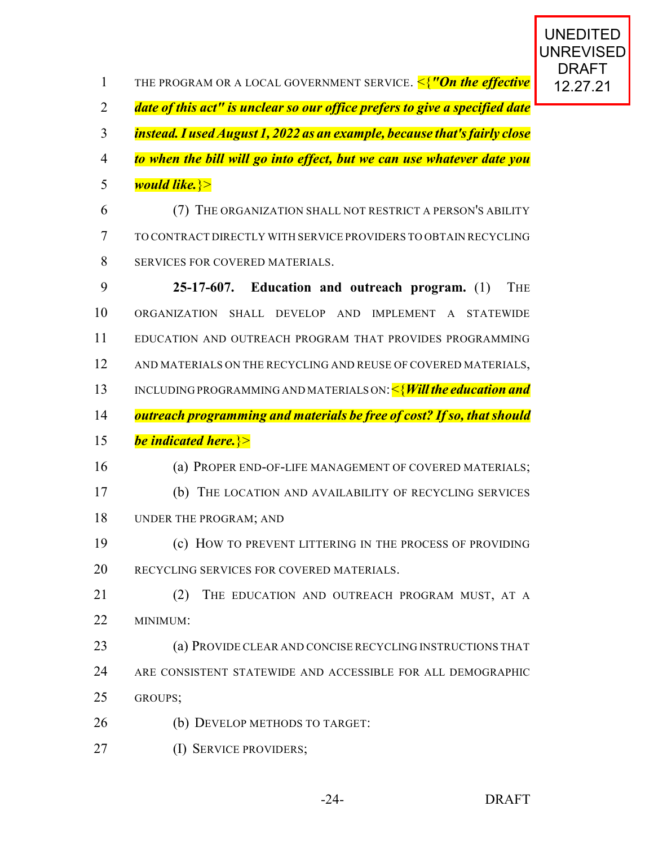| $\mathbf{1}$   | THE PROGRAM OR A LOCAL GOVERNMENT SERVICE. <mark>&lt;{"On the effective</mark> |
|----------------|--------------------------------------------------------------------------------|
| $\overline{2}$ | date of this act" is unclear so our office prefers to give a specified date    |
| 3              | instead. I used August 1, 2022 as an example, because that's fairly close      |
| $\overline{4}$ | to when the bill will go into effect, but we can use whatever date you         |
| 5              | would like. >>                                                                 |
| 6              | (7) THE ORGANIZATION SHALL NOT RESTRICT A PERSON'S ABILITY                     |
| 7              | TO CONTRACT DIRECTLY WITH SERVICE PROVIDERS TO OBTAIN RECYCLING                |
| 8              | SERVICES FOR COVERED MATERIALS.                                                |
| 9              | 25-17-607. Education and outreach program. (1)<br><b>THE</b>                   |
| 10             | <b>ORGANIZATION</b><br>SHALL DEVELOP AND IMPLEMENT A STATEWIDE                 |
| 11             | EDUCATION AND OUTREACH PROGRAM THAT PROVIDES PROGRAMMING                       |
| 12             | AND MATERIALS ON THE RECYCLING AND REUSE OF COVERED MATERIALS,                 |
| 13             | INCLUDING PROGRAMMING AND MATERIALS ON: $\leq$ <b>Will the education and</b>   |
| 14             | outreach programming and materials be free of cost? If so, that should         |
| 15             | <b>be indicated here.</b> >>                                                   |
| 16             | (a) PROPER END-OF-LIFE MANAGEMENT OF COVERED MATERIALS;                        |
| 17             | (b) THE LOCATION AND AVAILABILITY OF RECYCLING SERVICES                        |
| 18             | UNDER THE PROGRAM; AND                                                         |
| 19             | (c) HOW TO PREVENT LITTERING IN THE PROCESS OF PROVIDING                       |
| 20             | RECYCLING SERVICES FOR COVERED MATERIALS.                                      |
| 21             |                                                                                |
|                | (2)<br>THE EDUCATION AND OUTREACH PROGRAM MUST, AT A                           |
| 22             | MINIMUM:                                                                       |
| 23             | (a) PROVIDE CLEAR AND CONCISE RECYCLING INSTRUCTIONS THAT                      |
| 24             | ARE CONSISTENT STATEWIDE AND ACCESSIBLE FOR ALL DEMOGRAPHIC                    |
| 25             | GROUPS;                                                                        |
| 26             | (b) DEVELOP METHODS TO TARGET:                                                 |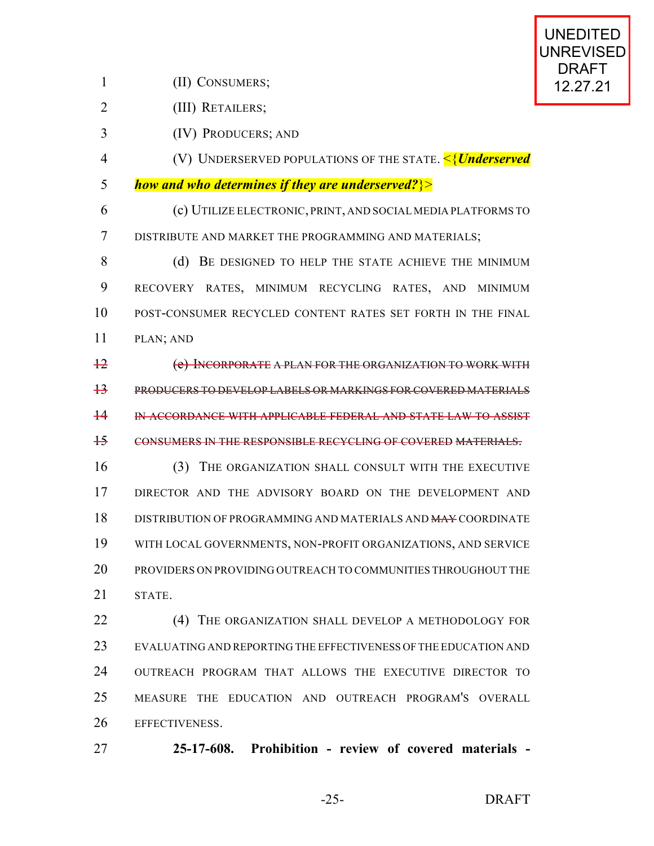1 (II) CONSUMERS; 12.27.21

(III) RETAILERS;

(IV) PRODUCERS; AND

 (V) UNDERSERVED POPULATIONS OF THE STATE. <{*Underserved how and who determines if they are underserved?*}>

 (c) UTILIZE ELECTRONIC, PRINT, AND SOCIALMEDIA PLATFORMS TO DISTRIBUTE AND MARKET THE PROGRAMMING AND MATERIALS;

8 (d) BE DESIGNED TO HELP THE STATE ACHIEVE THE MINIMUM RECOVERY RATES, MINIMUM RECYCLING RATES, AND MINIMUM POST-CONSUMER RECYCLED CONTENT RATES SET FORTH IN THE FINAL PLAN; AND

 (e) INCORPORATE A PLAN FOR THE ORGANIZATION TO WORK WITH PRODUCERS TO DEVELOP LABELS OR MARKINGS FOR COVERED MATERIALS IN ACCORDANCE WITH APPLICABLE FEDERAL AND STATE LAW TO ASSIST CONSUMERS IN THE RESPONSIBLE RECYCLING OF COVERED MATERIALS.

 (3) THE ORGANIZATION SHALL CONSULT WITH THE EXECUTIVE DIRECTOR AND THE ADVISORY BOARD ON THE DEVELOPMENT AND DISTRIBUTION OF PROGRAMMING AND MATERIALS AND MAY COORDINATE WITH LOCAL GOVERNMENTS, NON-PROFIT ORGANIZATIONS, AND SERVICE PROVIDERS ON PROVIDING OUTREACH TO COMMUNITIES THROUGHOUT THE STATE.

**(4) THE ORGANIZATION SHALL DEVELOP A METHODOLOGY FOR**  EVALUATING AND REPORTING THE EFFECTIVENESS OF THE EDUCATION AND OUTREACH PROGRAM THAT ALLOWS THE EXECUTIVE DIRECTOR TO MEASURE THE EDUCATION AND OUTREACH PROGRAM'S OVERALL EFFECTIVENESS.

**25-17-608. Prohibition - review of covered materials -**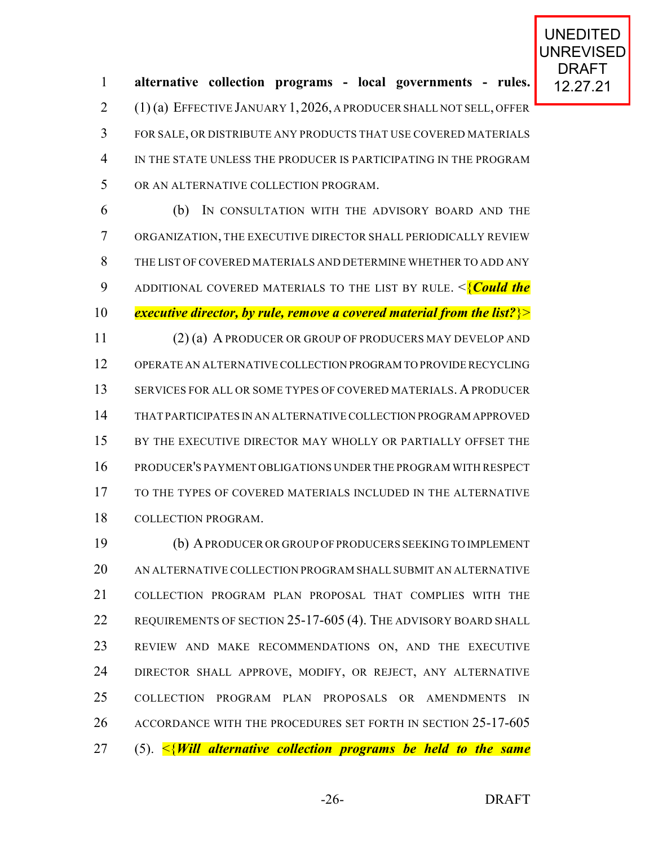12.27.21 **alternative collection programs - local governments - rules.** (1) (a) EFFECTIVE JANUARY 1,2026, A PRODUCER SHALL NOT SELL, OFFER FOR SALE, OR DISTRIBUTE ANY PRODUCTS THAT USE COVERED MATERIALS IN THE STATE UNLESS THE PRODUCER IS PARTICIPATING IN THE PROGRAM OR AN ALTERNATIVE COLLECTION PROGRAM.

 (b) IN CONSULTATION WITH THE ADVISORY BOARD AND THE ORGANIZATION, THE EXECUTIVE DIRECTOR SHALL PERIODICALLY REVIEW THE LIST OF COVERED MATERIALS AND DETERMINE WHETHER TO ADD ANY ADDITIONAL COVERED MATERIALS TO THE LIST BY RULE. <{*Could the executive director, by rule, remove a covered material from the list?*}> (2) (a) A PRODUCER OR GROUP OF PRODUCERS MAY DEVELOP AND OPERATE AN ALTERNATIVE COLLECTION PROGRAM TO PROVIDE RECYCLING SERVICES FOR ALL OR SOME TYPES OF COVERED MATERIALS. APRODUCER THAT PARTICIPATES IN AN ALTERNATIVE COLLECTION PROGRAM APPROVED 15 BY THE EXECUTIVE DIRECTOR MAY WHOLLY OR PARTIALLY OFFSET THE PRODUCER'S PAYMENT OBLIGATIONS UNDER THE PROGRAM WITH RESPECT TO THE TYPES OF COVERED MATERIALS INCLUDED IN THE ALTERNATIVE COLLECTION PROGRAM.

 (b) APRODUCER OR GROUP OF PRODUCERS SEEKING TO IMPLEMENT AN ALTERNATIVE COLLECTION PROGRAM SHALL SUBMIT AN ALTERNATIVE COLLECTION PROGRAM PLAN PROPOSAL THAT COMPLIES WITH THE 22 REQUIREMENTS OF SECTION 25-17-605 (4). THE ADVISORY BOARD SHALL REVIEW AND MAKE RECOMMENDATIONS ON, AND THE EXECUTIVE 24 DIRECTOR SHALL APPROVE, MODIFY, OR REJECT, ANY ALTERNATIVE COLLECTION PROGRAM PLAN PROPOSALS OR AMENDMENTS IN 26 ACCORDANCE WITH THE PROCEDURES SET FORTH IN SECTION 25-17-605 (5). <{*Will alternative collection programs be held to the same*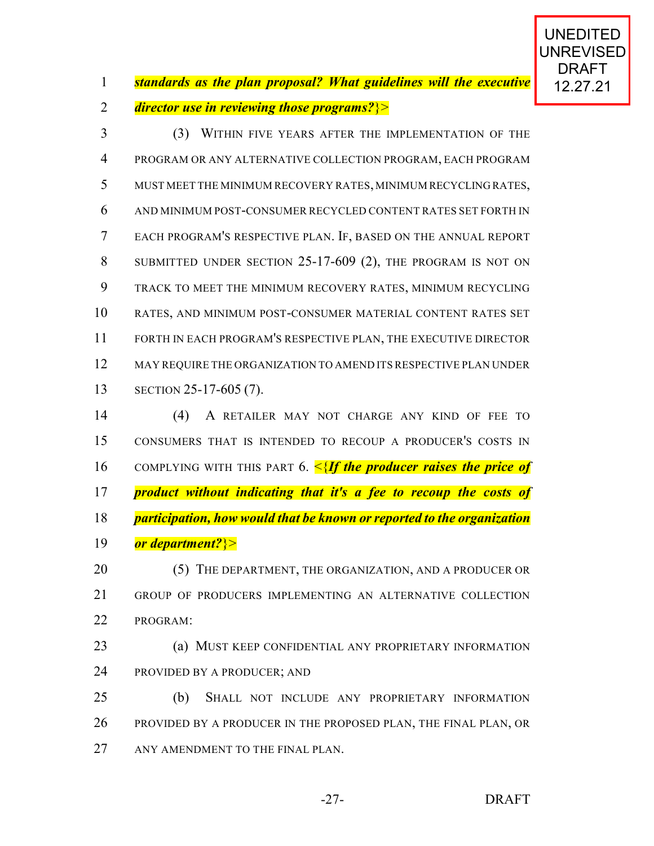*standards as the plan proposal? What guidelines will the executive* 12,27,21

*director use in reviewing those programs?*}>

 (3) WITHIN FIVE YEARS AFTER THE IMPLEMENTATION OF THE PROGRAM OR ANY ALTERNATIVE COLLECTION PROGRAM, EACH PROGRAM MUST MEET THE MINIMUM RECOVERY RATES, MINIMUM RECYCLING RATES, AND MINIMUM POST-CONSUMER RECYCLED CONTENT RATES SET FORTH IN EACH PROGRAM'S RESPECTIVE PLAN. IF, BASED ON THE ANNUAL REPORT SUBMITTED UNDER SECTION 25-17-609 (2), THE PROGRAM IS NOT ON TRACK TO MEET THE MINIMUM RECOVERY RATES, MINIMUM RECYCLING RATES, AND MINIMUM POST-CONSUMER MATERIAL CONTENT RATES SET FORTH IN EACH PROGRAM'S RESPECTIVE PLAN, THE EXECUTIVE DIRECTOR MAY REQUIRE THE ORGANIZATION TO AMEND ITS RESPECTIVE PLAN UNDER SECTION 25-17-605 (7).

 (4) A RETAILER MAY NOT CHARGE ANY KIND OF FEE TO CONSUMERS THAT IS INTENDED TO RECOUP A PRODUCER'S COSTS IN COMPLYING WITH THIS PART 6. <{*If the producer raises the price of product without indicating that it's a fee to recoup the costs of participation, how would that be known or reported to the organization or department?*}>

20 (5) THE DEPARTMENT, THE ORGANIZATION, AND A PRODUCER OR GROUP OF PRODUCERS IMPLEMENTING AN ALTERNATIVE COLLECTION PROGRAM:

- (a) MUST KEEP CONFIDENTIAL ANY PROPRIETARY INFORMATION PROVIDED BY A PRODUCER; AND
- (b) SHALL NOT INCLUDE ANY PROPRIETARY INFORMATION 26 PROVIDED BY A PRODUCER IN THE PROPOSED PLAN, THE FINAL PLAN, OR 27 ANY AMENDMENT TO THE FINAL PLAN.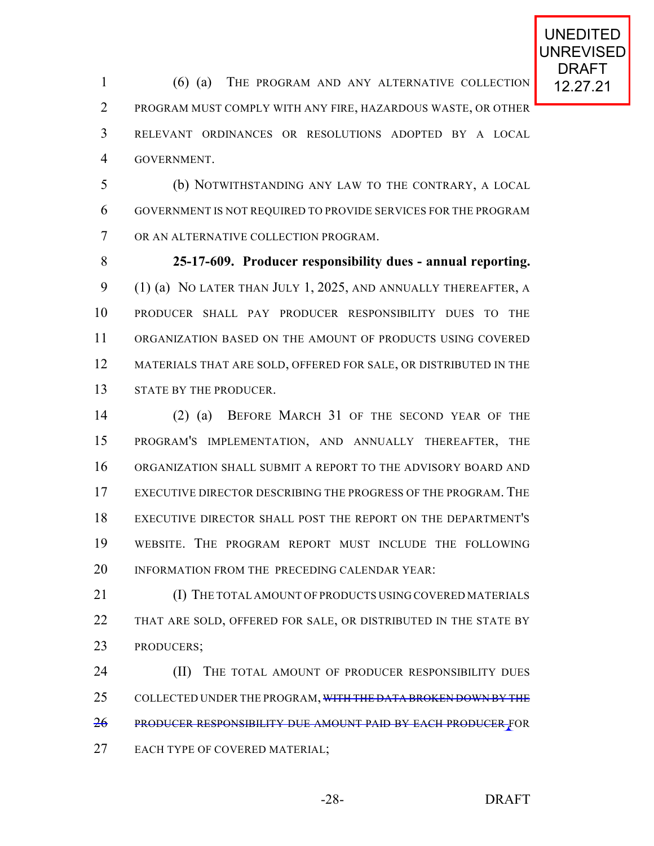1 (6) (a) THE PROGRAM AND ANY ALTERNATIVE COLLECTION 12.27.21 PROGRAM MUST COMPLY WITH ANY FIRE, HAZARDOUS WASTE, OR OTHER RELEVANT ORDINANCES OR RESOLUTIONS ADOPTED BY A LOCAL GOVERNMENT.

 (b) NOTWITHSTANDING ANY LAW TO THE CONTRARY, A LOCAL GOVERNMENT IS NOT REQUIRED TO PROVIDE SERVICES FOR THE PROGRAM OR AN ALTERNATIVE COLLECTION PROGRAM.

 **25-17-609. Producer responsibility dues - annual reporting.** (1) (a) NO LATER THAN JULY 1, 2025, AND ANNUALLY THEREAFTER, A PRODUCER SHALL PAY PRODUCER RESPONSIBILITY DUES TO THE ORGANIZATION BASED ON THE AMOUNT OF PRODUCTS USING COVERED 12 MATERIALS THAT ARE SOLD, OFFERED FOR SALE, OR DISTRIBUTED IN THE 13 STATE BY THE PRODUCER.

 (2) (a) BEFORE MARCH 31 OF THE SECOND YEAR OF THE PROGRAM'S IMPLEMENTATION, AND ANNUALLY THEREAFTER, THE ORGANIZATION SHALL SUBMIT A REPORT TO THE ADVISORY BOARD AND EXECUTIVE DIRECTOR DESCRIBING THE PROGRESS OF THE PROGRAM. THE EXECUTIVE DIRECTOR SHALL POST THE REPORT ON THE DEPARTMENT'S WEBSITE. THE PROGRAM REPORT MUST INCLUDE THE FOLLOWING 20 INFORMATION FROM THE PRECEDING CALENDAR YEAR:

21 (I) THE TOTAL AMOUNT OF PRODUCTS USING COVERED MATERIALS 22 THAT ARE SOLD, OFFERED FOR SALE, OR DISTRIBUTED IN THE STATE BY PRODUCERS;

**(II)** THE TOTAL AMOUNT OF PRODUCER RESPONSIBILITY DUES 25 COLLECTED UNDER THE PROGRAM, WITH THE DATA BROKEN DOWN BY THE PRODUCER RESPONSIBILITY DUE AMOUNT PAID BY EACH PRODUCER FOR EACH TYPE OF COVERED MATERIAL;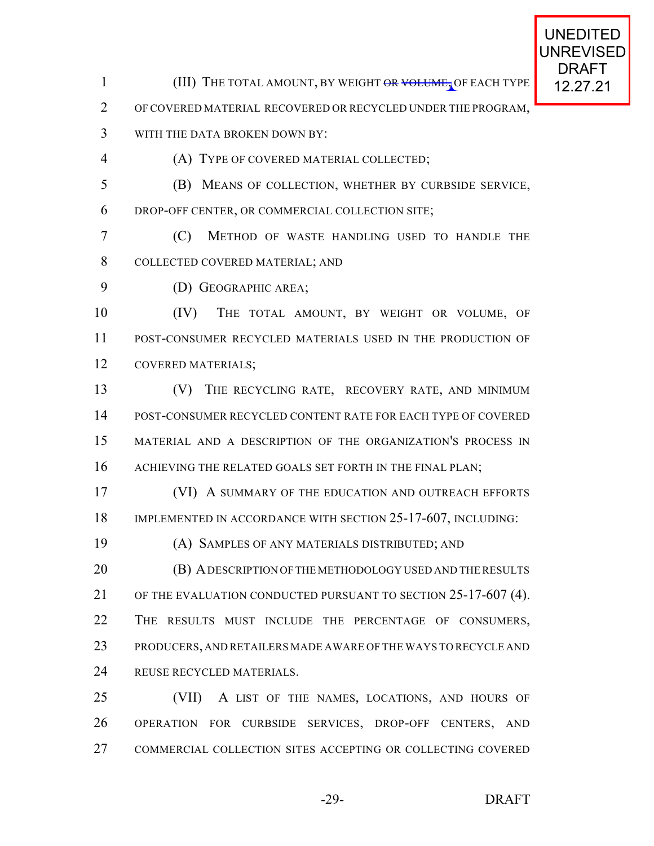1 (III) THE TOTAL AMOUNT, BY WEIGHT OR VOLUME, OF EACH TYPE 12.27.21

OF COVERED MATERIAL RECOVERED OR RECYCLED UNDER THE PROGRAM,

- WITH THE DATA BROKEN DOWN BY:
- 

(A) TYPE OF COVERED MATERIAL COLLECTED;

 (B) MEANS OF COLLECTION, WHETHER BY CURBSIDE SERVICE, DROP-OFF CENTER, OR COMMERCIAL COLLECTION SITE;

 (C) METHOD OF WASTE HANDLING USED TO HANDLE THE COLLECTED COVERED MATERIAL; AND

(D) GEOGRAPHIC AREA;

10 (IV) THE TOTAL AMOUNT, BY WEIGHT OR VOLUME, OF POST-CONSUMER RECYCLED MATERIALS USED IN THE PRODUCTION OF COVERED MATERIALS;

 (V) THE RECYCLING RATE, RECOVERY RATE, AND MINIMUM POST-CONSUMER RECYCLED CONTENT RATE FOR EACH TYPE OF COVERED MATERIAL AND A DESCRIPTION OF THE ORGANIZATION'S PROCESS IN 16 ACHIEVING THE RELATED GOALS SET FORTH IN THE FINAL PLAN;

 (VI) A SUMMARY OF THE EDUCATION AND OUTREACH EFFORTS 18 IMPLEMENTED IN ACCORDANCE WITH SECTION 25-17-607, INCLUDING:

(A) SAMPLES OF ANY MATERIALS DISTRIBUTED; AND

**(B) A DESCRIPTION OF THE METHODOLOGY USED AND THE RESULTS**  OF THE EVALUATION CONDUCTED PURSUANT TO SECTION 25-17-607 (4). THE RESULTS MUST INCLUDE THE PERCENTAGE OF CONSUMERS, PRODUCERS, AND RETAILERS MADE AWARE OF THE WAYS TO RECYCLE AND REUSE RECYCLED MATERIALS.

 (VII) A LIST OF THE NAMES, LOCATIONS, AND HOURS OF OPERATION FOR CURBSIDE SERVICES, DROP-OFF CENTERS, AND COMMERCIAL COLLECTION SITES ACCEPTING OR COLLECTING COVERED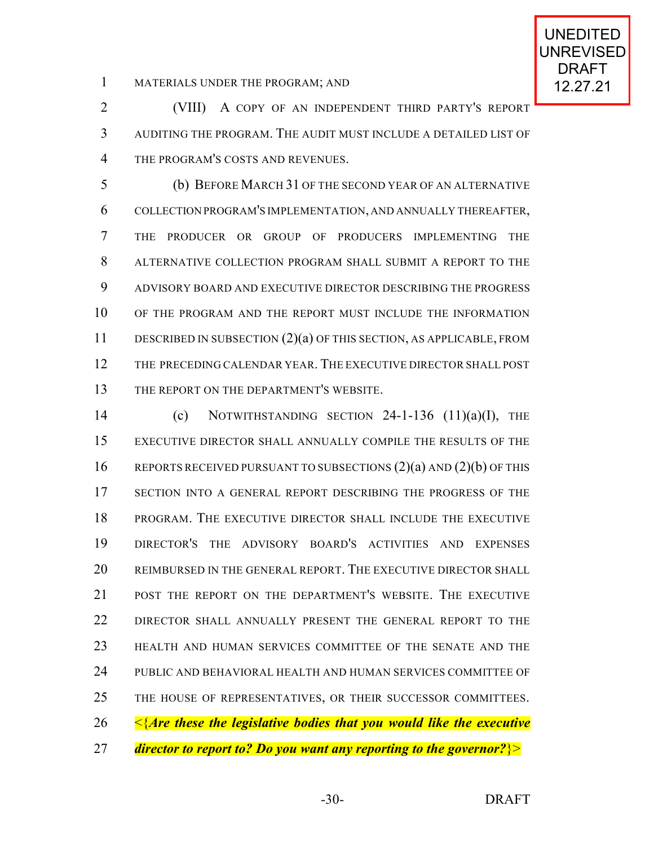1 MATERIALS UNDER THE PROGRAM; AND 12.27.21

 (VIII) A COPY OF AN INDEPENDENT THIRD PARTY'S REPORT AUDITING THE PROGRAM. THE AUDIT MUST INCLUDE A DETAILED LIST OF THE PROGRAM'S COSTS AND REVENUES.

 (b) BEFORE MARCH 31 OF THE SECOND YEAR OF AN ALTERNATIVE COLLECTION PROGRAM'S IMPLEMENTATION, AND ANNUALLY THEREAFTER, THE PRODUCER OR GROUP OF PRODUCERS IMPLEMENTING THE ALTERNATIVE COLLECTION PROGRAM SHALL SUBMIT A REPORT TO THE ADVISORY BOARD AND EXECUTIVE DIRECTOR DESCRIBING THE PROGRESS OF THE PROGRAM AND THE REPORT MUST INCLUDE THE INFORMATION DESCRIBED IN SUBSECTION (2)(a) OF THIS SECTION, AS APPLICABLE, FROM THE PRECEDING CALENDAR YEAR. THE EXECUTIVE DIRECTOR SHALL POST 13 THE REPORT ON THE DEPARTMENT'S WEBSITE.

 (c) NOTWITHSTANDING SECTION 24-1-136 (11)(a)(I), THE EXECUTIVE DIRECTOR SHALL ANNUALLY COMPILE THE RESULTS OF THE 16 REPORTS RECEIVED PURSUANT TO SUBSECTIONS (2)(a) AND (2)(b) OF THIS SECTION INTO A GENERAL REPORT DESCRIBING THE PROGRESS OF THE PROGRAM. THE EXECUTIVE DIRECTOR SHALL INCLUDE THE EXECUTIVE DIRECTOR'S THE ADVISORY BOARD'S ACTIVITIES AND EXPENSES REIMBURSED IN THE GENERAL REPORT. THE EXECUTIVE DIRECTOR SHALL POST THE REPORT ON THE DEPARTMENT'S WEBSITE. THE EXECUTIVE DIRECTOR SHALL ANNUALLY PRESENT THE GENERAL REPORT TO THE HEALTH AND HUMAN SERVICES COMMITTEE OF THE SENATE AND THE PUBLIC AND BEHAVIORAL HEALTH AND HUMAN SERVICES COMMITTEE OF THE HOUSE OF REPRESENTATIVES, OR THEIR SUCCESSOR COMMITTEES. <{*Are these the legislative bodies that you would like the executive director to report to? Do you want any reporting to the governor?*}>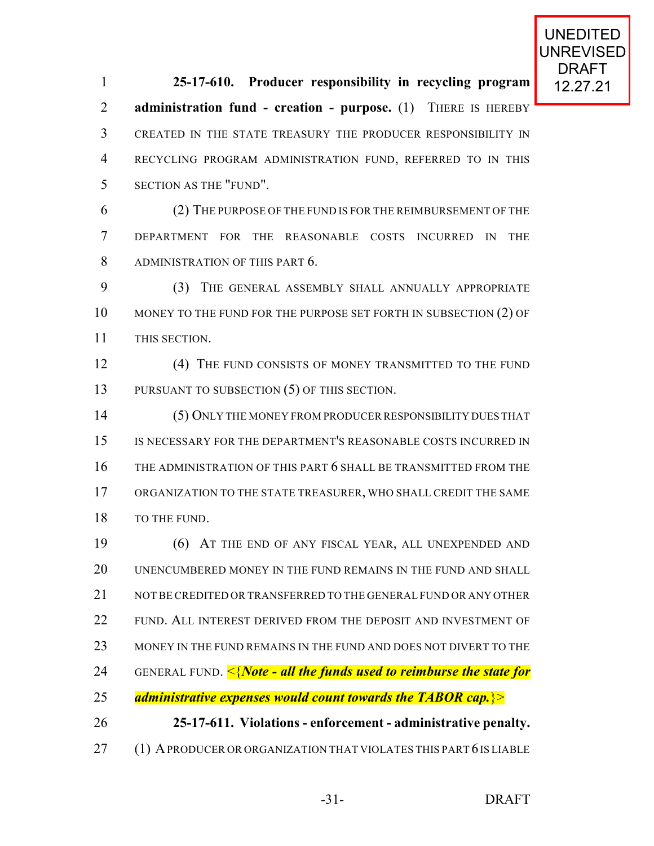12.27.21 **25-17-610. Producer responsibility in recycling program administration fund - creation - purpose.** (1) THERE IS HEREBY CREATED IN THE STATE TREASURY THE PRODUCER RESPONSIBILITY IN RECYCLING PROGRAM ADMINISTRATION FUND, REFERRED TO IN THIS SECTION AS THE "FUND".

 (2) THE PURPOSE OF THE FUND IS FOR THE REIMBURSEMENT OF THE DEPARTMENT FOR THE REASONABLE COSTS INCURRED IN THE ADMINISTRATION OF THIS PART 6.

 (3) THE GENERAL ASSEMBLY SHALL ANNUALLY APPROPRIATE 10 MONEY TO THE FUND FOR THE PURPOSE SET FORTH IN SUBSECTION (2) OF THIS SECTION.

12 (4) THE FUND CONSISTS OF MONEY TRANSMITTED TO THE FUND 13 PURSUANT TO SUBSECTION (5) OF THIS SECTION.

 (5) ONLY THE MONEY FROM PRODUCER RESPONSIBILITY DUES THAT IS NECESSARY FOR THE DEPARTMENT'S REASONABLE COSTS INCURRED IN THE ADMINISTRATION OF THIS PART 6 SHALL BE TRANSMITTED FROM THE ORGANIZATION TO THE STATE TREASURER, WHO SHALL CREDIT THE SAME 18 TO THE FUND.

 (6) AT THE END OF ANY FISCAL YEAR, ALL UNEXPENDED AND UNENCUMBERED MONEY IN THE FUND REMAINS IN THE FUND AND SHALL 21 NOT BE CREDITED OR TRANSFERRED TO THE GENERAL FUND OR ANY OTHER 22 FUND. ALL INTEREST DERIVED FROM THE DEPOSIT AND INVESTMENT OF MONEY IN THE FUND REMAINS IN THE FUND AND DOES NOT DIVERT TO THE GENERAL FUND. <{*Note - all the funds used to reimburse the state for administrative expenses would count towards the TABOR cap.*}> **25-17-611. Violations - enforcement - administrative penalty.** 27 (1) A PRODUCER OR ORGANIZATION THAT VIOLATES THIS PART 6 IS LIABLE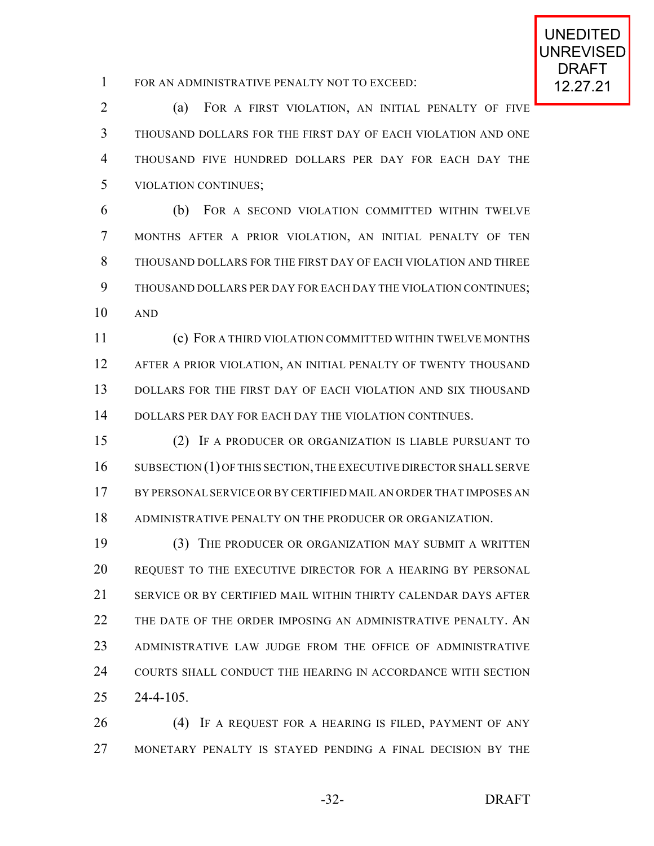1 FOR AN ADMINISTRATIVE PENALTY NOT TO EXCEED: 12.27.21

 (a) FOR A FIRST VIOLATION, AN INITIAL PENALTY OF FIVE THOUSAND DOLLARS FOR THE FIRST DAY OF EACH VIOLATION AND ONE THOUSAND FIVE HUNDRED DOLLARS PER DAY FOR EACH DAY THE VIOLATION CONTINUES;

 (b) FOR A SECOND VIOLATION COMMITTED WITHIN TWELVE MONTHS AFTER A PRIOR VIOLATION, AN INITIAL PENALTY OF TEN THOUSAND DOLLARS FOR THE FIRST DAY OF EACH VIOLATION AND THREE THOUSAND DOLLARS PER DAY FOR EACH DAY THE VIOLATION CONTINUES; AND

 (c) FOR A THIRD VIOLATION COMMITTED WITHIN TWELVE MONTHS AFTER A PRIOR VIOLATION, AN INITIAL PENALTY OF TWENTY THOUSAND DOLLARS FOR THE FIRST DAY OF EACH VIOLATION AND SIX THOUSAND DOLLARS PER DAY FOR EACH DAY THE VIOLATION CONTINUES.

 (2) IF A PRODUCER OR ORGANIZATION IS LIABLE PURSUANT TO 16 SUBSECTION (1) OF THIS SECTION, THE EXECUTIVE DIRECTOR SHALL SERVE BY PERSONAL SERVICE OR BY CERTIFIED MAIL AN ORDER THAT IMPOSES AN ADMINISTRATIVE PENALTY ON THE PRODUCER OR ORGANIZATION.

 (3) THE PRODUCER OR ORGANIZATION MAY SUBMIT A WRITTEN REQUEST TO THE EXECUTIVE DIRECTOR FOR A HEARING BY PERSONAL SERVICE OR BY CERTIFIED MAIL WITHIN THIRTY CALENDAR DAYS AFTER 22 THE DATE OF THE ORDER IMPOSING AN ADMINISTRATIVE PENALTY. AN ADMINISTRATIVE LAW JUDGE FROM THE OFFICE OF ADMINISTRATIVE COURTS SHALL CONDUCT THE HEARING IN ACCORDANCE WITH SECTION 24-4-105.

 (4) IF A REQUEST FOR A HEARING IS FILED, PAYMENT OF ANY MONETARY PENALTY IS STAYED PENDING A FINAL DECISION BY THE

-32- DRAFT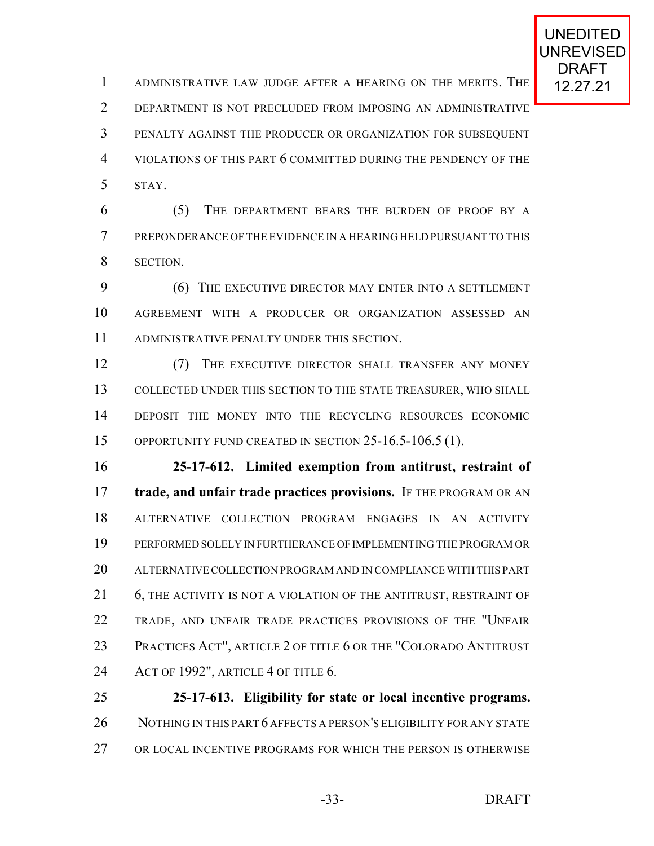1 ADMINISTRATIVE LAW JUDGE AFTER A HEARING ON THE MERITS. THE 12.27.21 DEPARTMENT IS NOT PRECLUDED FROM IMPOSING AN ADMINISTRATIVE PENALTY AGAINST THE PRODUCER OR ORGANIZATION FOR SUBSEQUENT VIOLATIONS OF THIS PART 6 COMMITTED DURING THE PENDENCY OF THE STAY.

 (5) THE DEPARTMENT BEARS THE BURDEN OF PROOF BY A PREPONDERANCE OF THE EVIDENCE IN A HEARING HELD PURSUANT TO THIS SECTION.

 (6) THE EXECUTIVE DIRECTOR MAY ENTER INTO A SETTLEMENT AGREEMENT WITH A PRODUCER OR ORGANIZATION ASSESSED AN ADMINISTRATIVE PENALTY UNDER THIS SECTION.

12 (7) THE EXECUTIVE DIRECTOR SHALL TRANSFER ANY MONEY COLLECTED UNDER THIS SECTION TO THE STATE TREASURER, WHO SHALL DEPOSIT THE MONEY INTO THE RECYCLING RESOURCES ECONOMIC OPPORTUNITY FUND CREATED IN SECTION 25-16.5-106.5 (1).

 **25-17-612. Limited exemption from antitrust, restraint of trade, and unfair trade practices provisions.** IF THE PROGRAM OR AN ALTERNATIVE COLLECTION PROGRAM ENGAGES IN AN ACTIVITY PERFORMED SOLELY IN FURTHERANCE OF IMPLEMENTING THE PROGRAM OR ALTERNATIVECOLLECTION PROGRAM AND IN COMPLIANCE WITH THIS PART 21 6, THE ACTIVITY IS NOT A VIOLATION OF THE ANTITRUST, RESTRAINT OF TRADE, AND UNFAIR TRADE PRACTICES PROVISIONS OF THE "UNFAIR PRACTICES ACT", ARTICLE 2 OF TITLE 6 OR THE "COLORADO ANTITRUST ACT OF 1992", ARTICLE 4 OF TITLE 6.

 **25-17-613. Eligibility for state or local incentive programs.** 26 NOTHING IN THIS PART 6 AFFECTS A PERSON'S ELIGIBILITY FOR ANY STATE OR LOCAL INCENTIVE PROGRAMS FOR WHICH THE PERSON IS OTHERWISE